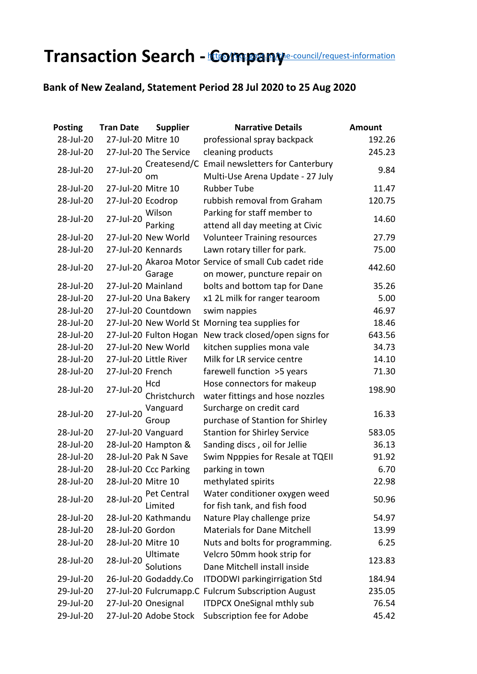## **Transaction Search - [Compa](https://ccc.govt.nz/the-council/request-information)ny** *e-council/request-information*

## **Bank of New Zealand, Statement Period 28 Jul 2020 to 25 Aug 2020**

| <b>Posting</b> | <b>Tran Date</b>   | <b>Supplier</b>        | <b>Narrative Details</b>                        | <b>Amount</b> |
|----------------|--------------------|------------------------|-------------------------------------------------|---------------|
| 28-Jul-20      | 27-Jul-20 Mitre 10 |                        | professional spray backpack                     | 192.26        |
| 28-Jul-20      |                    | 27-Jul-20 The Service  | cleaning products                               | 245.23        |
|                |                    | Createsend/C           | Email newsletters for Canterbury                |               |
| 28-Jul-20      | 27-Jul-20          | om                     | Multi-Use Arena Update - 27 July                | 9.84          |
| 28-Jul-20      | 27-Jul-20 Mitre 10 |                        | <b>Rubber Tube</b>                              | 11.47         |
| 28-Jul-20      | 27-Jul-20 Ecodrop  |                        | rubbish removal from Graham                     | 120.75        |
| 28-Jul-20      | 27-Jul-20          | Wilson                 | Parking for staff member to                     | 14.60         |
|                |                    | Parking                | attend all day meeting at Civic                 |               |
| 28-Jul-20      |                    | 27-Jul-20 New World    | <b>Volunteer Training resources</b>             | 27.79         |
| 28-Jul-20      |                    | 27-Jul-20 Kennards     | Lawn rotary tiller for park.                    | 75.00         |
| 28-Jul-20      | 27-Jul-20          |                        | Akaroa Motor Service of small Cub cadet ride    | 442.60        |
|                |                    | Garage                 | on mower, puncture repair on                    |               |
| 28-Jul-20      |                    | 27-Jul-20 Mainland     | bolts and bottom tap for Dane                   | 35.26         |
| 28-Jul-20      |                    | 27-Jul-20 Una Bakery   | x1 2L milk for ranger tearoom                   | 5.00          |
| 28-Jul-20      |                    | 27-Jul-20 Countdown    | swim nappies                                    | 46.97         |
| 28-Jul-20      |                    |                        | 27-Jul-20 New World St Morning tea supplies for | 18.46         |
| 28-Jul-20      |                    | 27-Jul-20 Fulton Hogan | New track closed/open signs for                 | 643.56        |
| 28-Jul-20      |                    | 27-Jul-20 New World    | kitchen supplies mona vale                      | 34.73         |
| 28-Jul-20      |                    | 27-Jul-20 Little River | Milk for LR service centre                      | 14.10         |
| 28-Jul-20      | 27-Jul-20 French   |                        | farewell function >5 years                      | 71.30         |
| 28-Jul-20      | 27-Jul-20          | Hcd                    | Hose connectors for makeup                      | 198.90        |
|                |                    | Christchurch           | water fittings and hose nozzles                 |               |
| 28-Jul-20      | 27-Jul-20          | Vanguard               | Surcharge on credit card                        | 16.33         |
|                |                    | Group                  | purchase of Stantion for Shirley                |               |
| 28-Jul-20      |                    | 27-Jul-20 Vanguard     | <b>Stantion for Shirley Service</b>             | 583.05        |
| 28-Jul-20      |                    | 28-Jul-20 Hampton &    | Sanding discs, oil for Jellie                   | 36.13         |
| 28-Jul-20      |                    | 28-Jul-20 Pak N Save   | Swim Npppies for Resale at TQEII                | 91.92         |
| 28-Jul-20      |                    | 28-Jul-20 Ccc Parking  | parking in town                                 | 6.70          |
| 28-Jul-20      | 28-Jul-20 Mitre 10 |                        | methylated spirits                              | 22.98         |
| 28-Jul-20      | 28-Jul-20          | Pet Central            | Water conditioner oxygen weed                   | 50.96         |
|                |                    | Limited                | for fish tank, and fish food                    |               |
| 28-Jul-20      |                    | 28-Jul-20 Kathmandu    | Nature Play challenge prize                     | 54.97         |
| 28-Jul-20      | 28-Jul-20 Gordon   |                        | <b>Materials for Dane Mitchell</b>              | 13.99         |
| 28-Jul-20      | 28-Jul-20 Mitre 10 |                        | Nuts and bolts for programming.                 | 6.25          |
| 28-Jul-20      | 28-Jul-20          | Ultimate               | Velcro 50mm hook strip for                      | 123.83        |
|                |                    | Solutions              | Dane Mitchell install inside                    |               |
| 29-Jul-20      |                    | 26-Jul-20 Godaddy.Co   | <b>ITDODWI</b> parkingirrigation Std            | 184.94        |
| 29-Jul-20      |                    | 27-Jul-20 Fulcrumapp.C | <b>Fulcrum Subscription August</b>              | 235.05        |
| 29-Jul-20      |                    | 27-Jul-20 Onesignal    | <b>ITDPCX OneSignal mthly sub</b>               | 76.54         |
| 29-Jul-20      |                    | 27-Jul-20 Adobe Stock  | Subscription fee for Adobe                      | 45.42         |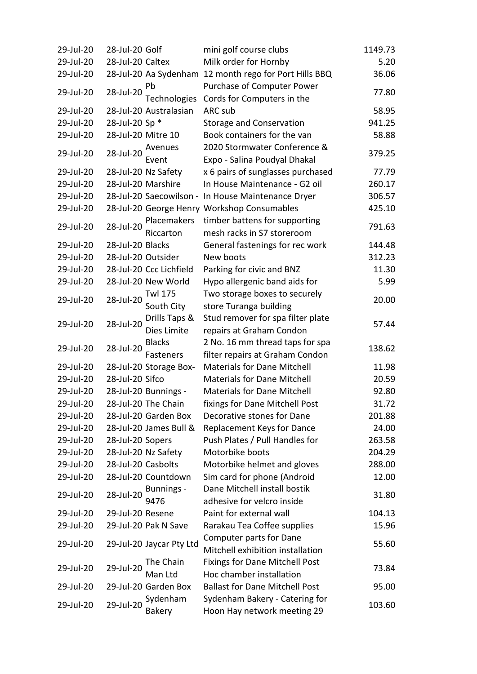| 29-Jul-20 | 28-Jul-20 Golf     |                          | mini golf course clubs                                 | 1149.73 |
|-----------|--------------------|--------------------------|--------------------------------------------------------|---------|
| 29-Jul-20 | 28-Jul-20 Caltex   |                          | Milk order for Hornby                                  | 5.20    |
| 29-Jul-20 |                    |                          | 28-Jul-20 Aa Sydenham 12 month rego for Port Hills BBQ | 36.06   |
|           |                    | Pb                       | Purchase of Computer Power                             |         |
| 29-Jul-20 | 28-Jul-20          | Technologies             | Cords for Computers in the                             | 77.80   |
| 29-Jul-20 |                    | 28-Jul-20 Australasian   | ARC sub                                                | 58.95   |
| 29-Jul-20 | 28-Jul-20 Sp *     |                          | <b>Storage and Conservation</b>                        | 941.25  |
| 29-Jul-20 | 28-Jul-20 Mitre 10 |                          | Book containers for the van                            | 58.88   |
|           |                    | Avenues                  | 2020 Stormwater Conference &                           |         |
| 29-Jul-20 | 28-Jul-20          | Event                    | Expo - Salina Poudyal Dhakal                           | 379.25  |
| 29-Jul-20 |                    | 28-Jul-20 Nz Safety      | x 6 pairs of sunglasses purchased                      | 77.79   |
| 29-Jul-20 |                    | 28-Jul-20 Marshire       | In House Maintenance - G2 oil                          | 260.17  |
| 29-Jul-20 |                    |                          | 28-Jul-20 Saecowilson - In House Maintenance Dryer     | 306.57  |
| 29-Jul-20 |                    |                          | 28-Jul-20 George Henry Workshop Consumables            | 425.10  |
|           |                    | Placemakers              | timber battens for supporting                          |         |
| 29-Jul-20 | 28-Jul-20          | Riccarton                | mesh racks in S7 storeroom                             | 791.63  |
| 29-Jul-20 | 28-Jul-20 Blacks   |                          | General fastenings for rec work                        | 144.48  |
| 29-Jul-20 | 28-Jul-20 Outsider |                          | New boots                                              | 312.23  |
| 29-Jul-20 |                    | 28-Jul-20 Ccc Lichfield  | Parking for civic and BNZ                              | 11.30   |
| 29-Jul-20 |                    | 28-Jul-20 New World      | Hypo allergenic band aids for                          | 5.99    |
| 29-Jul-20 | 28-Jul-20          | <b>Twl 175</b>           | Two storage boxes to securely                          | 20.00   |
|           |                    | South City               | store Turanga building                                 |         |
| 29-Jul-20 | 28-Jul-20          | Drills Taps &            | Stud remover for spa filter plate                      | 57.44   |
|           |                    | Dies Limite              | repairs at Graham Condon                               |         |
| 29-Jul-20 | 28-Jul-20          | <b>Blacks</b>            | 2 No. 16 mm thread taps for spa                        | 138.62  |
|           |                    | Fasteners                | filter repairs at Graham Condon                        |         |
| 29-Jul-20 |                    | 28-Jul-20 Storage Box-   | <b>Materials for Dane Mitchell</b>                     | 11.98   |
| 29-Jul-20 | 28-Jul-20 Sifco    |                          | <b>Materials for Dane Mitchell</b>                     | 20.59   |
| 29-Jul-20 |                    | 28-Jul-20 Bunnings -     | <b>Materials for Dane Mitchell</b>                     | 92.80   |
| 29-Jul-20 |                    | 28-Jul-20 The Chain      | fixings for Dane Mitchell Post                         | 31.72   |
| 29-Jul-20 |                    | 28-Jul-20 Garden Box     | Decorative stones for Dane                             | 201.88  |
| 29-Jul-20 |                    | 28-Jul-20 James Bull &   | Replacement Keys for Dance                             | 24.00   |
| 29-Jul-20 | 28-Jul-20 Sopers   |                          | Push Plates / Pull Handles for                         | 263.58  |
| 29-Jul-20 |                    | 28-Jul-20 Nz Safety      | Motorbike boots                                        | 204.29  |
| 29-Jul-20 | 28-Jul-20 Casbolts |                          | Motorbike helmet and gloves                            | 288.00  |
| 29-Jul-20 |                    | 28-Jul-20 Countdown      | Sim card for phone (Android                            | 12.00   |
| 29-Jul-20 | 28-Jul-20          | Bunnings -               | Dane Mitchell install bostik                           | 31.80   |
|           |                    | 9476                     | adhesive for velcro inside                             |         |
| 29-Jul-20 | 29-Jul-20 Resene   |                          | Paint for external wall                                | 104.13  |
| 29-Jul-20 |                    | 29-Jul-20 Pak N Save     | Rarakau Tea Coffee supplies                            | 15.96   |
| 29-Jul-20 |                    | 29-Jul-20 Jaycar Pty Ltd | Computer parts for Dane                                | 55.60   |
|           |                    |                          | Mitchell exhibition installation                       |         |
| 29-Jul-20 | 29-Jul-20          | The Chain                | <b>Fixings for Dane Mitchell Post</b>                  | 73.84   |
|           |                    | Man Ltd                  | Hoc chamber installation                               |         |
| 29-Jul-20 |                    | 29-Jul-20 Garden Box     | <b>Ballast for Dane Mitchell Post</b>                  | 95.00   |
|           | 29-Jul-20          | Sydenham                 | Sydenham Bakery - Catering for                         | 103.60  |
| 29-Jul-20 |                    | <b>Bakery</b>            | Hoon Hay network meeting 29                            |         |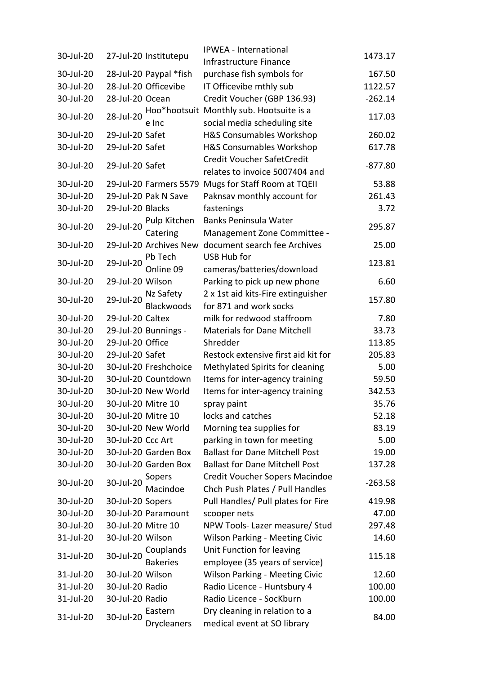| 30-Jul-20 |                    | 27-Jul-20 Institutepu  | IPWEA - International                               | 1473.17   |
|-----------|--------------------|------------------------|-----------------------------------------------------|-----------|
|           |                    |                        | Infrastructure Finance                              |           |
| 30-Jul-20 |                    | 28-Jul-20 Paypal *fish | purchase fish symbols for                           | 167.50    |
| 30-Jul-20 |                    | 28-Jul-20 Officevibe   | IT Officevibe mthly sub                             | 1122.57   |
| 30-Jul-20 | 28-Jul-20 Ocean    |                        | Credit Voucher (GBP 136.93)                         | $-262.14$ |
| 30-Jul-20 | 28-Jul-20          |                        | Hoo*hootsuit Monthly sub. Hootsuite is a            | 117.03    |
|           |                    | e Inc                  | social media scheduling site                        |           |
| 30-Jul-20 | 29-Jul-20 Safet    |                        | <b>H&amp;S Consumables Workshop</b>                 | 260.02    |
| 30-Jul-20 | 29-Jul-20 Safet    |                        | <b>H&amp;S Consumables Workshop</b>                 | 617.78    |
| 30-Jul-20 | 29-Jul-20 Safet    |                        | Credit Voucher SafetCredit                          | $-877.80$ |
|           |                    |                        | relates to invoice 5007404 and                      |           |
| 30-Jul-20 |                    |                        | 29-Jul-20 Farmers 5579 Mugs for Staff Room at TQEII | 53.88     |
| 30-Jul-20 |                    | 29-Jul-20 Pak N Save   | Paknsav monthly account for                         | 261.43    |
| 30-Jul-20 | 29-Jul-20 Blacks   |                        | fastenings                                          | 3.72      |
| 30-Jul-20 | 29-Jul-20          | Pulp Kitchen           | Banks Peninsula Water                               | 295.87    |
|           |                    | Catering               | Management Zone Committee -                         |           |
| 30-Jul-20 |                    | 29-Jul-20 Archives New | document search fee Archives                        | 25.00     |
| 30-Jul-20 | 29-Jul-20          | Pb Tech                | USB Hub for                                         | 123.81    |
|           |                    | Online 09              | cameras/batteries/download                          |           |
| 30-Jul-20 | 29-Jul-20 Wilson   |                        | Parking to pick up new phone                        | 6.60      |
| 30-Jul-20 | 29-Jul-20          | Nz Safety              | 2 x 1st aid kits-Fire extinguisher                  | 157.80    |
|           |                    | <b>Blackwoods</b>      | for 871 and work socks                              |           |
| 30-Jul-20 | 29-Jul-20 Caltex   |                        | milk for redwood staffroom                          | 7.80      |
| 30-Jul-20 |                    | 29-Jul-20 Bunnings -   | <b>Materials for Dane Mitchell</b>                  | 33.73     |
| 30-Jul-20 | 29-Jul-20 Office   |                        | Shredder                                            | 113.85    |
| 30-Jul-20 | 29-Jul-20 Safet    |                        | Restock extensive first aid kit for                 | 205.83    |
| 30-Jul-20 |                    | 30-Jul-20 Freshchoice  | Methylated Spirits for cleaning                     | 5.00      |
| 30-Jul-20 |                    | 30-Jul-20 Countdown    | Items for inter-agency training                     | 59.50     |
| 30-Jul-20 |                    | 30-Jul-20 New World    | Items for inter-agency training                     | 342.53    |
| 30-Jul-20 |                    | 30-Jul-20 Mitre 10     | spray paint                                         | 35.76     |
| 30-Jul-20 | 30-Jul-20 Mitre 10 |                        | locks and catches                                   | 52.18     |
| 30-Jul-20 |                    | 30-Jul-20 New World    | Morning tea supplies for                            | 83.19     |
| 30-Jul-20 | 30-Jul-20 Ccc Art  |                        | parking in town for meeting                         | 5.00      |
| 30-Jul-20 |                    | 30-Jul-20 Garden Box   | <b>Ballast for Dane Mitchell Post</b>               | 19.00     |
| 30-Jul-20 |                    | 30-Jul-20 Garden Box   | <b>Ballast for Dane Mitchell Post</b>               | 137.28    |
| 30-Jul-20 | 30-Jul-20          | Sopers                 | Credit Voucher Sopers Macindoe                      | $-263.58$ |
|           |                    | Macindoe               | Chch Push Plates / Pull Handles                     |           |
| 30-Jul-20 | 30-Jul-20 Sopers   |                        | Pull Handles/ Pull plates for Fire                  | 419.98    |
| 30-Jul-20 |                    | 30-Jul-20 Paramount    | scooper nets                                        | 47.00     |
| 30-Jul-20 | 30-Jul-20 Mitre 10 |                        | NPW Tools- Lazer measure/ Stud                      | 297.48    |
| 31-Jul-20 | 30-Jul-20 Wilson   |                        | <b>Wilson Parking - Meeting Civic</b>               | 14.60     |
| 31-Jul-20 | 30-Jul-20          | Couplands              | Unit Function for leaving                           |           |
|           |                    | <b>Bakeries</b>        | employee (35 years of service)                      | 115.18    |
| 31-Jul-20 | 30-Jul-20 Wilson   |                        | Wilson Parking - Meeting Civic                      | 12.60     |
| 31-Jul-20 | 30-Jul-20 Radio    |                        | Radio Licence - Huntsbury 4                         | 100.00    |
| 31-Jul-20 | 30-Jul-20 Radio    |                        | Radio Licence - SocKburn                            | 100.00    |
|           | 30-Jul-20          | Eastern                | Dry cleaning in relation to a                       |           |
| 31-Jul-20 |                    | <b>Drycleaners</b>     | medical event at SO library                         | 84.00     |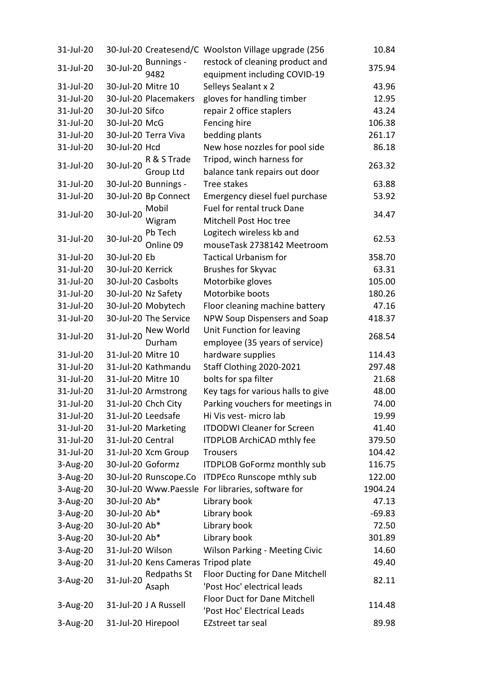| 31-Jul-20   |                    |                                     | 30-Jul-20 Createsend/C Woolston Village upgrade (256 | 10.84    |
|-------------|--------------------|-------------------------------------|------------------------------------------------------|----------|
|             |                    | Bunnings -                          | restock of cleaning product and                      |          |
| 31-Jul-20   | 30-Jul-20          | 9482                                | equipment including COVID-19                         | 375.94   |
| 31-Jul-20   | 30-Jul-20 Mitre 10 |                                     | Selleys Sealant x 2                                  | 43.96    |
| 31-Jul-20   |                    | 30-Jul-20 Placemakers               | gloves for handling timber                           | 12.95    |
| 31-Jul-20   | 30-Jul-20 Sifco    |                                     | repair 2 office staplers                             | 43.24    |
| 31-Jul-20   | 30-Jul-20 McG      |                                     | Fencing hire                                         | 106.38   |
| 31-Jul-20   |                    | 30-Jul-20 Terra Viva                | bedding plants                                       | 261.17   |
| 31-Jul-20   | 30-Jul-20 Hcd      |                                     | New hose nozzles for pool side                       | 86.18    |
|             |                    | R & S Trade                         | Tripod, winch harness for                            |          |
| 31-Jul-20   | 30-Jul-20          | Group Ltd                           | balance tank repairs out door                        | 263.32   |
| 31-Jul-20   |                    | 30-Jul-20 Bunnings -                | Tree stakes                                          | 63.88    |
| 31-Jul-20   |                    | 30-Jul-20 Bp Connect                | Emergency diesel fuel purchase                       | 53.92    |
|             |                    | Mobil                               | Fuel for rental truck Dane                           |          |
| 31-Jul-20   | 30-Jul-20          | Wigram                              | Mitchell Post Hoc tree                               | 34.47    |
|             |                    | Pb Tech                             | Logitech wireless kb and                             |          |
| 31-Jul-20   | 30-Jul-20          | Online 09                           | mouseTask 2738142 Meetroom                           | 62.53    |
| 31-Jul-20   | 30-Jul-20 Eb       |                                     | <b>Tactical Urbanism for</b>                         | 358.70   |
| 31-Jul-20   | 30-Jul-20 Kerrick  |                                     | Brushes for Skyvac                                   | 63.31    |
| 31-Jul-20   | 30-Jul-20 Casbolts |                                     | Motorbike gloves                                     | 105.00   |
| 31-Jul-20   |                    | 30-Jul-20 Nz Safety                 | Motorbike boots                                      | 180.26   |
| 31-Jul-20   |                    | 30-Jul-20 Mobytech                  | Floor cleaning machine battery                       | 47.16    |
| 31-Jul-20   |                    | 30-Jul-20 The Service               | NPW Soup Dispensers and Soap                         | 418.37   |
|             |                    | New World                           | Unit Function for leaving                            |          |
| 31-Jul-20   | 31-Jul-20          | Durham                              | employee (35 years of service)                       | 268.54   |
| 31-Jul-20   | 31-Jul-20 Mitre 10 |                                     | hardware supplies                                    | 114.43   |
| 31-Jul-20   |                    | 31-Jul-20 Kathmandu                 | Staff Clothing 2020-2021                             | 297.48   |
| 31-Jul-20   | 31-Jul-20 Mitre 10 |                                     | bolts for spa filter                                 | 21.68    |
| 31-Jul-20   |                    | 31-Jul-20 Armstrong                 | Key tags for various halls to give                   | 48.00    |
| 31-Jul-20   |                    | 31-Jul-20 Chch City                 | Parking vouchers for meetings in                     | 74.00    |
| 31-Jul-20   | 31-Jul-20 Leedsafe |                                     | Hi Vis vest- micro lab                               | 19.99    |
| 31-Jul-20   |                    | 31-Jul-20 Marketing                 | <b>ITDODWI Cleaner for Screen</b>                    | 41.40    |
| 31-Jul-20   | 31-Jul-20 Central  |                                     | ITDPLOB ArchiCAD mthly fee                           | 379.50   |
| 31-Jul-20   |                    | 31-Jul-20 Xcm Group                 | <b>Trousers</b>                                      | 104.42   |
| $3$ -Aug-20 | 30-Jul-20 Goformz  |                                     | <b>ITDPLOB GoFormz monthly sub</b>                   | 116.75   |
| $3$ -Aug-20 |                    | 30-Jul-20 Runscope.Co               | <b>ITDPEco Runscope mthly sub</b>                    | 122.00   |
| $3-Aug-20$  |                    |                                     | 30-Jul-20 Www.Paessle For libraries, software for    | 1904.24  |
| 3-Aug-20    | 30-Jul-20 Ab*      |                                     | Library book                                         | 47.13    |
| $3$ -Aug-20 | 30-Jul-20 Ab*      |                                     | Library book                                         | $-69.83$ |
| $3$ -Aug-20 | 30-Jul-20 Ab*      |                                     | Library book                                         | 72.50    |
| $3$ -Aug-20 | 30-Jul-20 Ab*      |                                     | Library book                                         | 301.89   |
| 3-Aug-20    | 31-Jul-20 Wilson   |                                     | Wilson Parking - Meeting Civic                       | 14.60    |
| $3$ -Aug-20 |                    | 31-Jul-20 Kens Cameras Tripod plate |                                                      | 49.40    |
|             |                    | Redpaths St                         | Floor Ducting for Dane Mitchell                      |          |
| 3-Aug-20    | 31-Jul-20          | Asaph                               | 'Post Hoc' electrical leads                          | 82.11    |
|             |                    |                                     | <b>Floor Duct for Dane Mitchell</b>                  |          |
| $3-Aug-20$  |                    | 31-Jul-20 J A Russell               | 'Post Hoc' Electrical Leads                          | 114.48   |
| $3-Aug-20$  | 31-Jul-20 Hirepool |                                     | EZstreet tar seal                                    | 89.98    |
|             |                    |                                     |                                                      |          |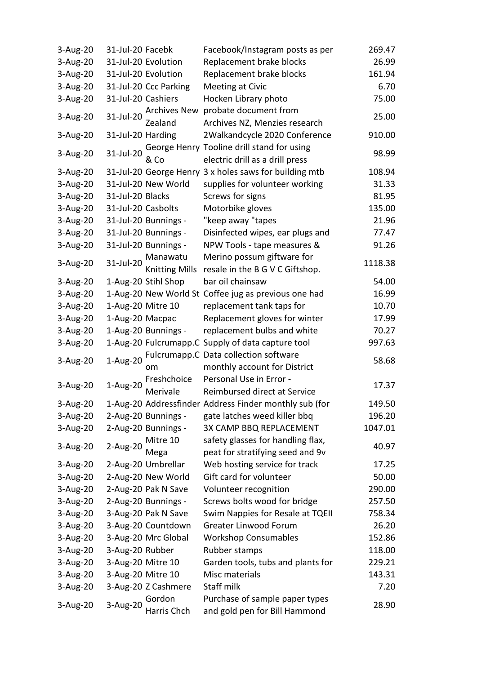| 3-Aug-20<br>31-Jul-20 Facebk<br>Facebook/Instagram posts as per                                                  | 269.47  |
|------------------------------------------------------------------------------------------------------------------|---------|
| $3-Aug-20$<br>Replacement brake blocks<br>31-Jul-20 Evolution                                                    | 26.99   |
| $3$ -Aug-20<br>31-Jul-20 Evolution<br>Replacement brake blocks                                                   | 161.94  |
| $3$ -Aug-20<br>31-Jul-20 Ccc Parking<br>Meeting at Civic                                                         | 6.70    |
| $3-Aug-20$<br>31-Jul-20 Cashiers<br>Hocken Library photo                                                         | 75.00   |
| probate document from<br><b>Archives New</b><br>31-Jul-20                                                        | 25.00   |
| 3-Aug-20<br>Archives NZ, Menzies research<br>Zealand                                                             |         |
| 2Walkandcycle 2020 Conference<br>3-Aug-20<br>31-Jul-20 Harding                                                   | 910.00  |
| George Henry Tooline drill stand for using<br>3-Aug-20<br>31-Jul-20<br>& Co<br>electric drill as a drill press   | 98.99   |
| 31-Jul-20 George Henry 3 x holes saws for building mtb<br>3-Aug-20                                               | 108.94  |
| 3-Aug-20<br>31-Jul-20 New World<br>supplies for volunteer working                                                | 31.33   |
| 3-Aug-20<br>31-Jul-20 Blacks<br>Screws for signs                                                                 | 81.95   |
| 3-Aug-20<br>31-Jul-20 Casbolts<br>Motorbike gloves                                                               | 135.00  |
| 3-Aug-20<br>31-Jul-20 Bunnings -<br>"keep away "tapes                                                            | 21.96   |
| $3$ -Aug-20<br>31-Jul-20 Bunnings -<br>Disinfected wipes, ear plugs and                                          | 77.47   |
| $3$ -Aug-20<br>31-Jul-20 Bunnings -<br>NPW Tools - tape measures &                                               | 91.26   |
| Merino possum giftware for<br>Manawatu                                                                           |         |
| 3-Aug-20<br>31-Jul-20<br><b>Knitting Mills</b><br>resale in the B G V C Giftshop.                                | 1118.38 |
| 1-Aug-20 Stihl Shop<br>3-Aug-20<br>bar oil chainsaw                                                              | 54.00   |
| 1-Aug-20 New World St Coffee jug as previous one had<br>$3$ -Aug-20                                              | 16.99   |
| 3-Aug-20<br>1-Aug-20 Mitre 10<br>replacement tank taps for                                                       | 10.70   |
| $3$ -Aug-20<br>1-Aug-20 Macpac<br>Replacement gloves for winter                                                  | 17.99   |
| 3-Aug-20<br>1-Aug-20 Bunnings -<br>replacement bulbs and white                                                   | 70.27   |
| 3-Aug-20<br>1-Aug-20 Fulcrumapp.C Supply of data capture tool                                                    | 997.63  |
| Fulcrumapp.C Data collection software                                                                            |         |
| 1-Aug-20<br>3-Aug-20<br>monthly account for District<br>om                                                       | 58.68   |
| Personal Use in Error -<br>Freshchoice                                                                           | 17.37   |
| 3-Aug-20<br>$1-Aug-20$<br>Merivale<br>Reimbursed direct at Service                                               |         |
| 1-Aug-20 Addressfinder Address Finder monthly sub (for<br>3-Aug-20                                               | 149.50  |
| gate latches weed killer bbq<br>$3$ -Aug-20<br>2-Aug-20 Bunnings -                                               | 196.20  |
| $3$ -Aug-20<br>2-Aug-20 Bunnings -<br>3X CAMP BBQ REPLACEMENT                                                    | 1047.01 |
| safety glasses for handling flax,<br>Mitre 10<br>2-Aug-20<br>3-Aug-20                                            | 40.97   |
| peat for stratifying seed and 9v<br>Mega                                                                         |         |
| 2-Aug-20 Umbrellar<br>Web hosting service for track<br>3-Aug-20                                                  | 17.25   |
| 3-Aug-20<br>2-Aug-20 New World<br>Gift card for volunteer                                                        | 50.00   |
| $3$ -Aug-20<br>2-Aug-20 Pak N Save<br>Volunteer recognition                                                      | 290.00  |
| Screws bolts wood for bridge<br>$3-Aug-20$<br>2-Aug-20 Bunnings -                                                | 257.50  |
| Swim Nappies for Resale at TQEII<br>3-Aug-20<br>3-Aug-20 Pak N Save                                              | 758.34  |
| <b>Greater Linwood Forum</b><br>3-Aug-20<br>3-Aug-20 Countdown                                                   | 26.20   |
| $3$ -Aug-20<br>3-Aug-20 Mrc Global<br><b>Workshop Consumables</b>                                                | 152.86  |
| 3-Aug-20<br>3-Aug-20 Rubber<br>Rubber stamps                                                                     | 118.00  |
| $3$ -Aug-20<br>3-Aug-20 Mitre 10<br>Garden tools, tubs and plants for                                            | 229.21  |
| 3-Aug-20 Mitre 10<br>3-Aug-20<br>Misc materials                                                                  | 143.31  |
| Staff milk<br>3-Aug-20<br>3-Aug-20 Z Cashmere                                                                    | 7.20    |
| Purchase of sample paper types<br>Gordon<br>3-Aug-20<br>3-Aug-20<br>Harris Chch<br>and gold pen for Bill Hammond | 28.90   |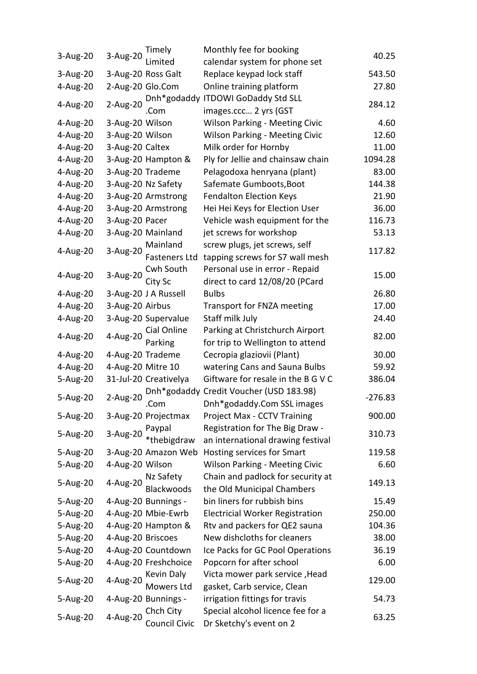|             |                   | Timely                | Monthly fee for booking                                     |           |
|-------------|-------------------|-----------------------|-------------------------------------------------------------|-----------|
| 3-Aug-20    | 3-Aug-20          | Limited               | calendar system for phone set                               | 40.25     |
| 3-Aug-20    |                   | 3-Aug-20 Ross Galt    | Replace keypad lock staff                                   | 543.50    |
| 4-Aug-20    | 2-Aug-20 Glo.Com  |                       | Online training platform                                    | 27.80     |
| 4-Aug-20    | 2-Aug-20          | .Com                  | Dnh*godaddy ITDOWI GoDaddy Std SLL<br>images.ccc 2 yrs (GST | 284.12    |
| $4$ -Aug-20 | 3-Aug-20 Wilson   |                       | <b>Wilson Parking - Meeting Civic</b>                       | 4.60      |
| 4-Aug-20    | 3-Aug-20 Wilson   |                       | <b>Wilson Parking - Meeting Civic</b>                       | 12.60     |
| 4-Aug-20    | 3-Aug-20 Caltex   |                       | Milk order for Hornby                                       | 11.00     |
| 4-Aug-20    |                   | 3-Aug-20 Hampton &    | Ply for Jellie and chainsaw chain                           | 1094.28   |
| 4-Aug-20    |                   | 3-Aug-20 Trademe      | Pelagodoxa henryana (plant)                                 | 83.00     |
| 4-Aug-20    |                   | 3-Aug-20 Nz Safety    | Safemate Gumboots, Boot                                     | 144.38    |
| 4-Aug-20    |                   | 3-Aug-20 Armstrong    | <b>Fendalton Election Keys</b>                              | 21.90     |
| 4-Aug-20    |                   | 3-Aug-20 Armstrong    | Hei Hei Keys for Election User                              | 36.00     |
| 4-Aug-20    | 3-Aug-20 Pacer    |                       | Vehicle wash equipment for the                              | 116.73    |
| 4-Aug-20    |                   | 3-Aug-20 Mainland     | jet screws for workshop                                     | 53.13     |
|             |                   | Mainland              | screw plugs, jet screws, self                               |           |
| 4-Aug-20    | 3-Aug-20          | <b>Fasteners Ltd</b>  | tapping screws for S7 wall mesh                             | 117.82    |
|             |                   | Cwh South             | Personal use in error - Repaid                              |           |
| 4-Aug-20    | 3-Aug-20          | City Sc               | direct to card 12/08/20 (PCard                              | 15.00     |
| $4$ -Aug-20 |                   | 3-Aug-20 J A Russell  | <b>Bulbs</b>                                                | 26.80     |
| 4-Aug-20    | 3-Aug-20 Airbus   |                       | Transport for FNZA meeting                                  | 17.00     |
| 4-Aug-20    |                   | 3-Aug-20 Supervalue   | Staff milk July                                             | 24.40     |
|             |                   | Cial Online           | Parking at Christchurch Airport                             |           |
| 4-Aug-20    | 4-Aug-20          | Parking               | for trip to Wellington to attend                            | 82.00     |
| 4-Aug-20    |                   | 4-Aug-20 Trademe      | Cecropia glaziovii (Plant)                                  | 30.00     |
| 4-Aug-20    | 4-Aug-20 Mitre 10 |                       | watering Cans and Sauna Bulbs                               | 59.92     |
| 5-Aug-20    |                   | 31-Jul-20 Creativelya | Giftware for resale in the B G V C                          | 386.04    |
|             |                   |                       | Dnh*godaddy Credit Voucher (USD 183.98)                     |           |
| 5-Aug-20    | 2-Aug-20          | .Com                  | Dnh*godaddy.Com SSL images                                  | $-276.83$ |
| 5-Aug-20    |                   | 3-Aug-20 Projectmax   | Project Max - CCTV Training                                 | 900.00    |
|             |                   | Paypal                | Registration for The Big Draw -                             |           |
| 5-Aug-20    | 3-Aug-20          | *thebigdraw           | an international drawing festival                           | 310.73    |
| 5-Aug-20    |                   | 3-Aug-20 Amazon Web   | Hosting services for Smart                                  | 119.58    |
| 5-Aug-20    | 4-Aug-20 Wilson   |                       | <b>Wilson Parking - Meeting Civic</b>                       | 6.60      |
|             | 4-Aug-20          | Nz Safety             | Chain and padlock for security at                           |           |
| 5-Aug-20    |                   | <b>Blackwoods</b>     | the Old Municipal Chambers                                  | 149.13    |
| 5-Aug-20    |                   | 4-Aug-20 Bunnings -   | bin liners for rubbish bins                                 | 15.49     |
| 5-Aug-20    |                   | 4-Aug-20 Mbie-Ewrb    | <b>Electricial Worker Registration</b>                      | 250.00    |
| 5-Aug-20    |                   | 4-Aug-20 Hampton &    | Rtv and packers for QE2 sauna                               | 104.36    |
| 5-Aug-20    | 4-Aug-20 Briscoes |                       | New dishcloths for cleaners                                 | 38.00     |
| 5-Aug-20    |                   | 4-Aug-20 Countdown    | Ice Packs for GC Pool Operations                            | 36.19     |
| 5-Aug-20    |                   | 4-Aug-20 Freshchoice  | Popcorn for after school                                    | 6.00      |
| 5-Aug-20    | 4-Aug-20          | Kevin Daly            | Victa mower park service, Head                              | 129.00    |
|             |                   | Mowers Ltd            | gasket, Carb service, Clean                                 |           |
| 5-Aug-20    |                   | 4-Aug-20 Bunnings -   | irrigation fittings for travis                              | 54.73     |
| 5-Aug-20    | 4-Aug-20          | Chch City             | Special alcohol licence fee for a                           | 63.25     |
|             |                   | Council Civic         | Dr Sketchy's event on 2                                     |           |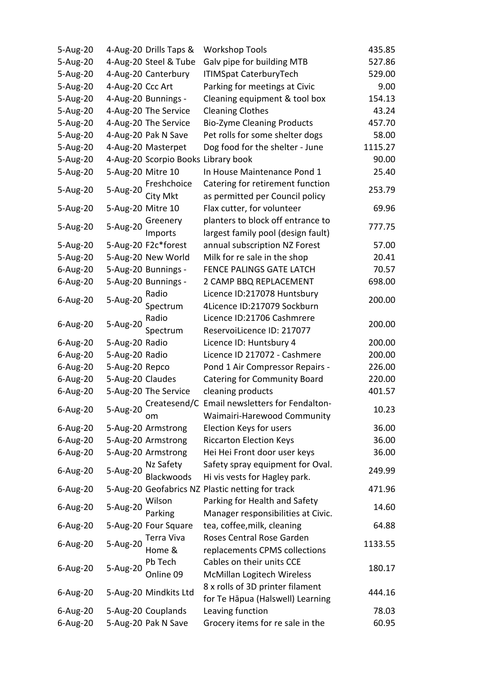| 5-Aug-20    |                   | 4-Aug-20 Drills Taps &              | <b>Workshop Tools</b>                            | 435.85  |
|-------------|-------------------|-------------------------------------|--------------------------------------------------|---------|
| 5-Aug-20    |                   | 4-Aug-20 Steel & Tube               | Galv pipe for building MTB                       | 527.86  |
| 5-Aug-20    |                   | 4-Aug-20 Canterbury                 | <b>ITIMSpat CaterburyTech</b>                    | 529.00  |
| 5-Aug-20    | 4-Aug-20 Ccc Art  |                                     | Parking for meetings at Civic                    | 9.00    |
| 5-Aug-20    |                   | 4-Aug-20 Bunnings -                 | Cleaning equipment & tool box                    | 154.13  |
| 5-Aug-20    |                   | 4-Aug-20 The Service                | <b>Cleaning Clothes</b>                          | 43.24   |
| 5-Aug-20    |                   | 4-Aug-20 The Service                | <b>Bio-Zyme Cleaning Products</b>                | 457.70  |
| 5-Aug-20    |                   | 4-Aug-20 Pak N Save                 | Pet rolls for some shelter dogs                  | 58.00   |
| 5-Aug-20    |                   | 4-Aug-20 Masterpet                  | Dog food for the shelter - June                  | 1115.27 |
| 5-Aug-20    |                   | 4-Aug-20 Scorpio Books Library book |                                                  | 90.00   |
| 5-Aug-20    | 5-Aug-20 Mitre 10 |                                     | In House Maintenance Pond 1                      | 25.40   |
|             |                   | Freshchoice                         | Catering for retirement function                 |         |
| 5-Aug-20    | 5-Aug-20          | City Mkt                            | as permitted per Council policy                  | 253.79  |
| 5-Aug-20    | 5-Aug-20 Mitre 10 |                                     | Flax cutter, for volunteer                       | 69.96   |
|             |                   | Greenery                            | planters to block off entrance to                |         |
| 5-Aug-20    | 5-Aug-20          | Imports                             | largest family pool (design fault)               | 777.75  |
| 5-Aug-20    |                   | 5-Aug-20 F2c*forest                 | annual subscription NZ Forest                    | 57.00   |
| 5-Aug-20    |                   | 5-Aug-20 New World                  | Milk for re sale in the shop                     | 20.41   |
|             |                   | 5-Aug-20 Bunnings -                 | FENCE PALINGS GATE LATCH                         | 70.57   |
| 6-Aug-20    |                   |                                     |                                                  |         |
| 6-Aug-20    |                   | 5-Aug-20 Bunnings -                 | 2 CAMP BBQ REPLACEMENT                           | 698.00  |
| 6-Aug-20    | 5-Aug-20          | Radio                               | Licence ID:217078 Huntsbury                      | 200.00  |
|             |                   | Spectrum                            | 4Licence ID:217079 Sockburn                      |         |
| 6-Aug-20    | 5-Aug-20          | Radio                               | Licence ID:21706 Cashmrere                       | 200.00  |
|             |                   | Spectrum                            | ReservoiLicence ID: 217077                       |         |
| 6-Aug-20    | 5-Aug-20 Radio    |                                     | Licence ID: Huntsbury 4                          | 200.00  |
| 6-Aug-20    | 5-Aug-20 Radio    |                                     | Licence ID 217072 - Cashmere                     | 200.00  |
| $6$ -Aug-20 | 5-Aug-20 Repco    |                                     | Pond 1 Air Compressor Repairs -                  | 226.00  |
| 6-Aug-20    | 5-Aug-20 Claudes  |                                     | <b>Catering for Community Board</b>              | 220.00  |
| 6-Aug-20    |                   | 5-Aug-20 The Service                | cleaning products                                | 401.57  |
| 6-Aug-20    | 5-Aug-20          |                                     | Createsend/C Email newsletters for Fendalton-    | 10.23   |
|             |                   | om                                  | Waimairi-Harewood Community                      |         |
| 6-Aug-20    |                   | 5-Aug-20 Armstrong                  | Election Keys for users                          | 36.00   |
| 6-Aug-20    |                   | 5-Aug-20 Armstrong                  | <b>Riccarton Election Keys</b>                   | 36.00   |
| 6-Aug-20    |                   | 5-Aug-20 Armstrong                  | Hei Hei Front door user keys                     | 36.00   |
| $6$ -Aug-20 | 5-Aug-20          | Nz Safety                           | Safety spray equipment for Oval.                 | 249.99  |
|             |                   | Blackwoods                          | Hi vis vests for Hagley park.                    |         |
| $6$ -Aug-20 |                   |                                     | 5-Aug-20 Geofabrics NZ Plastic netting for track | 471.96  |
|             |                   | Wilson                              | Parking for Health and Safety                    |         |
| 6-Aug-20    | 5-Aug-20          | Parking                             | Manager responsibilities at Civic.               | 14.60   |
| 6-Aug-20    |                   | 5-Aug-20 Four Square                | tea, coffee, milk, cleaning                      | 64.88   |
|             |                   | Terra Viva                          | Roses Central Rose Garden                        |         |
| 6-Aug-20    | 5-Aug-20          | Home &                              | replacements CPMS collections                    | 1133.55 |
|             |                   | Pb Tech                             | Cables on their units CCE                        |         |
| 6-Aug-20    | 5-Aug-20          | Online 09                           | McMillan Logitech Wireless                       | 180.17  |
|             |                   |                                     | 8 x rolls of 3D printer filament                 |         |
| 6-Aug-20    |                   | 5-Aug-20 Mindkits Ltd               | for Te Hāpua (Halswell) Learning                 | 444.16  |
| $6$ -Aug-20 |                   | 5-Aug-20 Couplands                  | Leaving function                                 | 78.03   |
| 6-Aug-20    |                   | 5-Aug-20 Pak N Save                 | Grocery items for re sale in the                 | 60.95   |
|             |                   |                                     |                                                  |         |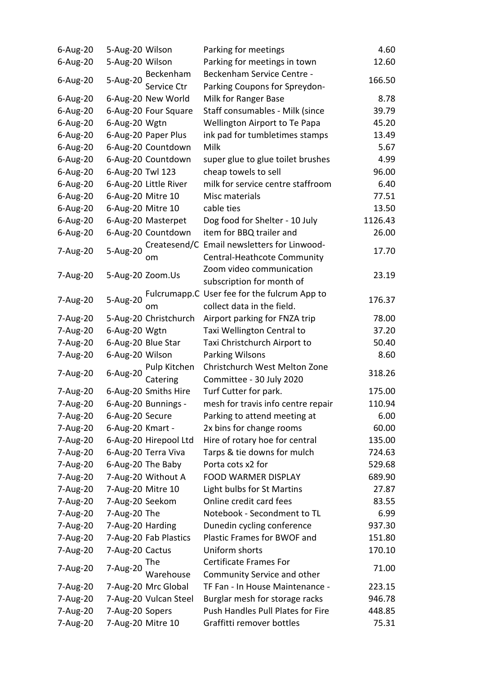| $6$ -Aug-20 | 5-Aug-20 Wilson   |                       | Parking for meetings                         | 4.60    |
|-------------|-------------------|-----------------------|----------------------------------------------|---------|
| 6-Aug-20    | 5-Aug-20 Wilson   |                       | Parking for meetings in town                 | 12.60   |
|             |                   | Beckenham             | Beckenham Service Centre -                   |         |
| 6-Aug-20    | 5-Aug-20          | Service Ctr           | Parking Coupons for Spreydon-                | 166.50  |
| 6-Aug-20    |                   | 6-Aug-20 New World    | Milk for Ranger Base                         | 8.78    |
| 6-Aug-20    |                   | 6-Aug-20 Four Square  | Staff consumables - Milk (since              | 39.79   |
| 6-Aug-20    | 6-Aug-20 Wgtn     |                       | Wellington Airport to Te Papa                | 45.20   |
| 6-Aug-20    |                   | 6-Aug-20 Paper Plus   | ink pad for tumbletimes stamps               | 13.49   |
| 6-Aug-20    |                   | 6-Aug-20 Countdown    | Milk                                         | 5.67    |
| 6-Aug-20    |                   | 6-Aug-20 Countdown    | super glue to glue toilet brushes            | 4.99    |
| 6-Aug-20    | 6-Aug-20 Twl 123  |                       | cheap towels to sell                         | 96.00   |
| 6-Aug-20    |                   | 6-Aug-20 Little River | milk for service centre staffroom            | 6.40    |
| 6-Aug-20    | 6-Aug-20 Mitre 10 |                       | Misc materials                               | 77.51   |
| 6-Aug-20    | 6-Aug-20 Mitre 10 |                       | cable ties                                   | 13.50   |
| 6-Aug-20    |                   | 6-Aug-20 Masterpet    | Dog food for Shelter - 10 July               | 1126.43 |
| $6$ -Aug-20 |                   | 6-Aug-20 Countdown    | item for BBQ trailer and                     | 26.00   |
|             |                   |                       | Createsend/C Email newsletters for Linwood-  |         |
| 7-Aug-20    | 5-Aug-20          | om                    | Central-Heathcote Community                  | 17.70   |
|             |                   |                       | Zoom video communication                     |         |
| 7-Aug-20    | 5-Aug-20 Zoom.Us  |                       | subscription for month of                    | 23.19   |
|             |                   |                       | Fulcrumapp.C User fee for the fulcrum App to |         |
| 7-Aug-20    | 5-Aug-20          | om                    | collect data in the field.                   | 176.37  |
| 7-Aug-20    |                   | 5-Aug-20 Christchurch | Airport parking for FNZA trip                | 78.00   |
| 7-Aug-20    | 6-Aug-20 Wgtn     |                       | Taxi Wellington Central to                   | 37.20   |
| 7-Aug-20    |                   | 6-Aug-20 Blue Star    | Taxi Christchurch Airport to                 | 50.40   |
| 7-Aug-20    | 6-Aug-20 Wilson   |                       | Parking Wilsons                              | 8.60    |
|             |                   | Pulp Kitchen          | Christchurch West Melton Zone                |         |
| 7-Aug-20    | 6-Aug-20          | Catering              | Committee - 30 July 2020                     | 318.26  |
| 7-Aug-20    |                   | 6-Aug-20 Smiths Hire  | Turf Cutter for park.                        | 175.00  |
| 7-Aug-20    |                   | 6-Aug-20 Bunnings -   | mesh for travis info centre repair           | 110.94  |
| 7-Aug-20    | 6-Aug-20 Secure   |                       | Parking to attend meeting at                 | 6.00    |
| 7-Aug-20    | 6-Aug-20 Kmart -  |                       | 2x bins for change rooms                     | 60.00   |
| 7-Aug-20    |                   | 6-Aug-20 Hirepool Ltd | Hire of rotary hoe for central               | 135.00  |
| 7-Aug-20    |                   | 6-Aug-20 Terra Viva   | Tarps & tie downs for mulch                  | 724.63  |
| 7-Aug-20    |                   | 6-Aug-20 The Baby     | Porta cots x2 for                            | 529.68  |
| 7-Aug-20    |                   | 7-Aug-20 Without A    | FOOD WARMER DISPLAY                          | 689.90  |
| 7-Aug-20    | 7-Aug-20 Mitre 10 |                       | Light bulbs for St Martins                   | 27.87   |
| 7-Aug-20    | 7-Aug-20 Seekom   |                       | Online credit card fees                      | 83.55   |
| 7-Aug-20    | 7-Aug-20 The      |                       | Notebook - Secondment to TL                  | 6.99    |
| 7-Aug-20    | 7-Aug-20 Harding  |                       | Dunedin cycling conference                   | 937.30  |
| 7-Aug-20    |                   | 7-Aug-20 Fab Plastics | Plastic Frames for BWOF and                  | 151.80  |
| 7-Aug-20    | 7-Aug-20 Cactus   |                       | Uniform shorts                               | 170.10  |
|             |                   | <b>The</b>            | <b>Certificate Frames For</b>                |         |
| 7-Aug-20    | 7-Aug-20          | Warehouse             | Community Service and other                  | 71.00   |
| 7-Aug-20    |                   | 7-Aug-20 Mrc Global   | TF Fan - In House Maintenance -              | 223.15  |
| 7-Aug-20    |                   | 7-Aug-20 Vulcan Steel | Burglar mesh for storage racks               | 946.78  |
| 7-Aug-20    | 7-Aug-20 Sopers   |                       | Push Handles Pull Plates for Fire            | 448.85  |
| 7-Aug-20    | 7-Aug-20 Mitre 10 |                       | Graffitti remover bottles                    | 75.31   |
|             |                   |                       |                                              |         |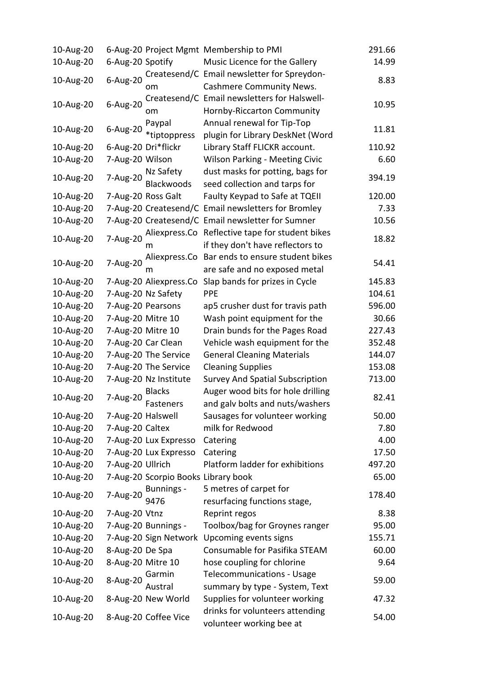| 10-Aug-20 |                   |                                     | 6-Aug-20 Project Mgmt Membership to PMI             | 291.66 |
|-----------|-------------------|-------------------------------------|-----------------------------------------------------|--------|
| 10-Aug-20 | 6-Aug-20 Spotify  |                                     | Music Licence for the Gallery                       | 14.99  |
|           |                   |                                     | Createsend/C Email newsletter for Spreydon-         |        |
| 10-Aug-20 | 6-Aug-20          | om                                  | <b>Cashmere Community News.</b>                     | 8.83   |
|           |                   |                                     | Createsend/C Email newsletters for Halswell-        |        |
| 10-Aug-20 | 6-Aug-20          | om                                  | Hornby-Riccarton Community                          | 10.95  |
|           |                   | Paypal                              | Annual renewal for Tip-Top                          |        |
| 10-Aug-20 | 6-Aug-20          | *tiptoppress                        | plugin for Library DeskNet (Word                    | 11.81  |
| 10-Aug-20 |                   | 6-Aug-20 Dri*flickr                 | Library Staff FLICKR account.                       | 110.92 |
| 10-Aug-20 | 7-Aug-20 Wilson   |                                     | Wilson Parking - Meeting Civic                      | 6.60   |
|           | 7-Aug-20          | Nz Safety                           | dust masks for potting, bags for                    |        |
| 10-Aug-20 |                   | Blackwoods                          | seed collection and tarps for                       | 394.19 |
| 10-Aug-20 |                   | 7-Aug-20 Ross Galt                  | Faulty Keypad to Safe at TQEII                      | 120.00 |
| 10-Aug-20 |                   |                                     | 7-Aug-20 Createsend/C Email newsletters for Bromley | 7.33   |
| 10-Aug-20 |                   |                                     | 7-Aug-20 Createsend/C Email newsletter for Sumner   | 10.56  |
|           |                   | Aliexpress.Co                       | Reflective tape for student bikes                   |        |
| 10-Aug-20 | 7-Aug-20          | m                                   | if they don't have reflectors to                    | 18.82  |
|           |                   |                                     | Aliexpress.Co Bar ends to ensure student bikes      |        |
| 10-Aug-20 | 7-Aug-20          |                                     | are safe and no exposed metal                       | 54.41  |
| 10-Aug-20 |                   | 7-Aug-20 Aliexpress.Co              | Slap bands for prizes in Cycle                      | 145.83 |
| 10-Aug-20 |                   | 7-Aug-20 Nz Safety                  | <b>PPE</b>                                          | 104.61 |
| 10-Aug-20 |                   | 7-Aug-20 Pearsons                   | ap5 crusher dust for travis path                    | 596.00 |
| 10-Aug-20 | 7-Aug-20 Mitre 10 |                                     | Wash point equipment for the                        | 30.66  |
| 10-Aug-20 | 7-Aug-20 Mitre 10 |                                     | Drain bunds for the Pages Road                      | 227.43 |
| 10-Aug-20 |                   | 7-Aug-20 Car Clean                  | Vehicle wash equipment for the                      | 352.48 |
| 10-Aug-20 |                   | 7-Aug-20 The Service                | <b>General Cleaning Materials</b>                   | 144.07 |
| 10-Aug-20 |                   | 7-Aug-20 The Service                | <b>Cleaning Supplies</b>                            | 153.08 |
| 10-Aug-20 |                   | 7-Aug-20 Nz Institute               | <b>Survey And Spatial Subscription</b>              | 713.00 |
|           |                   | <b>Blacks</b>                       | Auger wood bits for hole drilling                   |        |
| 10-Aug-20 | 7-Aug-20          | Fasteners                           | and galv bolts and nuts/washers                     | 82.41  |
| 10-Aug-20 | 7-Aug-20 Halswell |                                     | Sausages for volunteer working                      | 50.00  |
| 10-Aug-20 | 7-Aug-20 Caltex   |                                     | milk for Redwood                                    | 7.80   |
| 10-Aug-20 |                   | 7-Aug-20 Lux Expresso               | Catering                                            | 4.00   |
| 10-Aug-20 |                   | 7-Aug-20 Lux Expresso               | Catering                                            | 17.50  |
| 10-Aug-20 | 7-Aug-20 Ullrich  |                                     | Platform ladder for exhibitions                     | 497.20 |
| 10-Aug-20 |                   | 7-Aug-20 Scorpio Books Library book |                                                     | 65.00  |
|           |                   | <b>Bunnings -</b>                   | 5 metres of carpet for                              |        |
| 10-Aug-20 | 7-Aug-20          | 9476                                | resurfacing functions stage,                        | 178.40 |
| 10-Aug-20 | 7-Aug-20 Vtnz     |                                     | Reprint regos                                       | 8.38   |
| 10-Aug-20 |                   | 7-Aug-20 Bunnings -                 | Toolbox/bag for Groynes ranger                      | 95.00  |
| 10-Aug-20 |                   | 7-Aug-20 Sign Network               | Upcoming events signs                               | 155.71 |
| 10-Aug-20 | 8-Aug-20 De Spa   |                                     | Consumable for Pasifika STEAM                       | 60.00  |
| 10-Aug-20 | 8-Aug-20 Mitre 10 |                                     | hose coupling for chlorine                          | 9.64   |
|           |                   | Garmin                              | <b>Telecommunications - Usage</b>                   |        |
| 10-Aug-20 | 8-Aug-20          | Austral                             | summary by type - System, Text                      | 59.00  |
| 10-Aug-20 |                   | 8-Aug-20 New World                  | Supplies for volunteer working                      | 47.32  |
|           |                   |                                     | drinks for volunteers attending                     |        |
| 10-Aug-20 |                   | 8-Aug-20 Coffee Vice                | volunteer working bee at                            | 54.00  |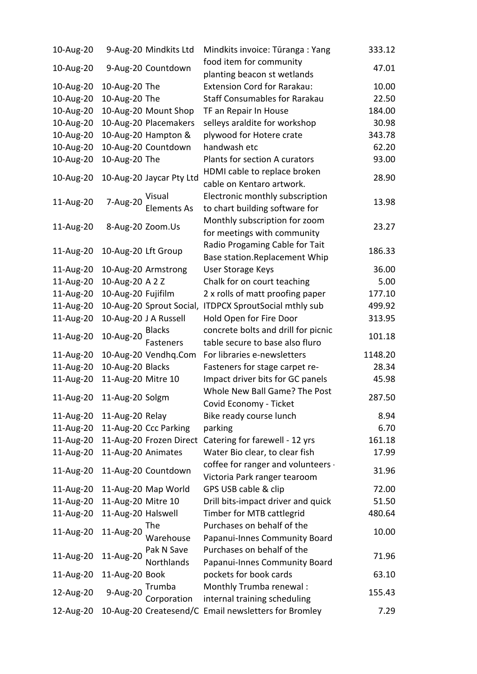| food item for community<br>9-Aug-20 Countdown<br>10-Aug-20<br>47.01<br>planting beacon st wetlands<br><b>Extension Cord for Rarakau:</b><br>10-Aug-20<br>10-Aug-20 The<br>10.00<br>10-Aug-20 The<br>10-Aug-20<br><b>Staff Consumables for Rarakau</b><br>22.50<br>10-Aug-20<br>10-Aug-20 Mount Shop<br>TF an Repair In House<br>184.00<br>10-Aug-20<br>10-Aug-20 Placemakers<br>30.98<br>selleys araldite for workshop<br>10-Aug-20<br>10-Aug-20 Hampton &<br>plywood for Hotere crate<br>343.78<br>10-Aug-20<br>10-Aug-20 Countdown<br>handwash etc<br>62.20<br>10-Aug-20<br>10-Aug-20 The<br>Plants for section A curators<br>93.00<br>HDMI cable to replace broken<br>10-Aug-20 Jaycar Pty Ltd<br>10-Aug-20<br>28.90<br>cable on Kentaro artwork.<br>Electronic monthly subscription<br>Visual<br>7-Aug-20<br>11-Aug-20<br>13.98<br><b>Elements As</b><br>to chart building software for<br>Monthly subscription for zoom<br>11-Aug-20<br>8-Aug-20 Zoom.Us<br>23.27<br>for meetings with community<br>Radio Progaming Cable for Tait<br>11-Aug-20<br>10-Aug-20 Lft Group<br>186.33<br>Base station.Replacement Whip<br><b>User Storage Keys</b><br>11-Aug-20<br>10-Aug-20 Armstrong<br>36.00<br>10-Aug-20 A 2 Z<br>11-Aug-20<br>Chalk for on court teaching<br>5.00<br>11-Aug-20<br>10-Aug-20 Fujifilm<br>2 x rolls of matt proofing paper<br>177.10<br>11-Aug-20<br>10-Aug-20 Sprout Social,<br><b>ITDPCX SproutSocial mthly sub</b><br>499.92<br>Hold Open for Fire Door<br>11-Aug-20<br>10-Aug-20 J A Russell<br>313.95<br>concrete bolts and drill for picnic<br><b>Blacks</b><br>10-Aug-20<br>11-Aug-20<br>101.18<br>Fasteners<br>table secure to base also fluro<br>10-Aug-20 Vendhq.Com<br>For libraries e-newsletters<br>1148.20<br>11-Aug-20<br>10-Aug-20 Blacks<br>11-Aug-20<br>Fasteners for stage carpet re-<br>28.34<br>Impact driver bits for GC panels<br>11-Aug-20<br>11-Aug-20 Mitre 10<br>45.98<br>Whole New Ball Game? The Post<br>11-Aug-20 Solgm<br>11-Aug-20<br>287.50<br>Covid Economy - Ticket<br>11-Aug-20<br>Bike ready course lunch<br>8.94<br>11-Aug-20 Relay<br>11-Aug-20 Ccc Parking<br>11-Aug-20<br>parking<br>6.70<br>161.18<br>11-Aug-20<br>11-Aug-20 Frozen Direct<br>Catering for farewell - 12 yrs<br>11-Aug-20 Animates<br>11-Aug-20<br>17.99<br>Water Bio clear, to clear fish<br>coffee for ranger and volunteers -<br>11-Aug-20<br>31.96<br>11-Aug-20 Countdown<br>Victoria Park ranger tearoom<br>GPS USB cable & clip<br>72.00<br>11-Aug-20<br>11-Aug-20 Map World<br>11-Aug-20<br>11-Aug-20 Mitre 10<br>Drill bits-impact driver and quick<br>51.50<br>11-Aug-20<br>11-Aug-20 Halswell<br>Timber for MTB cattlegrid<br>480.64<br>Purchases on behalf of the<br>The<br>11-Aug-20<br>11-Aug-20<br>10.00<br>Warehouse<br>Papanui-Innes Community Board<br>Purchases on behalf of the<br>Pak N Save<br>11-Aug-20<br>11-Aug-20<br>71.96<br>Northlands<br>Papanui-Innes Community Board<br>pockets for book cards<br>11-Aug-20<br>11-Aug-20 Book<br>63.10<br>Monthly Trumba renewal :<br>Trumba<br>9-Aug-20<br>12-Aug-20<br>155.43<br>internal training scheduling<br>Corporation<br>10-Aug-20 Createsend/C Email newsletters for Bromley<br>7.29 | 10-Aug-20 | 9-Aug-20 Mindkits Ltd | Mindkits invoice: Tūranga: Yang | 333.12 |
|-------------------------------------------------------------------------------------------------------------------------------------------------------------------------------------------------------------------------------------------------------------------------------------------------------------------------------------------------------------------------------------------------------------------------------------------------------------------------------------------------------------------------------------------------------------------------------------------------------------------------------------------------------------------------------------------------------------------------------------------------------------------------------------------------------------------------------------------------------------------------------------------------------------------------------------------------------------------------------------------------------------------------------------------------------------------------------------------------------------------------------------------------------------------------------------------------------------------------------------------------------------------------------------------------------------------------------------------------------------------------------------------------------------------------------------------------------------------------------------------------------------------------------------------------------------------------------------------------------------------------------------------------------------------------------------------------------------------------------------------------------------------------------------------------------------------------------------------------------------------------------------------------------------------------------------------------------------------------------------------------------------------------------------------------------------------------------------------------------------------------------------------------------------------------------------------------------------------------------------------------------------------------------------------------------------------------------------------------------------------------------------------------------------------------------------------------------------------------------------------------------------------------------------------------------------------------------------------------------------------------------------------------------------------------------------------------------------------------------------------------------------------------------------------------------------------------------------------------------------------------------------------------------------------------------------------------------------------------------------------------------------------------------------------------------------------------------------------------------------------------------------------------------------------------------------------|-----------|-----------------------|---------------------------------|--------|
|                                                                                                                                                                                                                                                                                                                                                                                                                                                                                                                                                                                                                                                                                                                                                                                                                                                                                                                                                                                                                                                                                                                                                                                                                                                                                                                                                                                                                                                                                                                                                                                                                                                                                                                                                                                                                                                                                                                                                                                                                                                                                                                                                                                                                                                                                                                                                                                                                                                                                                                                                                                                                                                                                                                                                                                                                                                                                                                                                                                                                                                                                                                                                                                           |           |                       |                                 |        |
|                                                                                                                                                                                                                                                                                                                                                                                                                                                                                                                                                                                                                                                                                                                                                                                                                                                                                                                                                                                                                                                                                                                                                                                                                                                                                                                                                                                                                                                                                                                                                                                                                                                                                                                                                                                                                                                                                                                                                                                                                                                                                                                                                                                                                                                                                                                                                                                                                                                                                                                                                                                                                                                                                                                                                                                                                                                                                                                                                                                                                                                                                                                                                                                           |           |                       |                                 |        |
|                                                                                                                                                                                                                                                                                                                                                                                                                                                                                                                                                                                                                                                                                                                                                                                                                                                                                                                                                                                                                                                                                                                                                                                                                                                                                                                                                                                                                                                                                                                                                                                                                                                                                                                                                                                                                                                                                                                                                                                                                                                                                                                                                                                                                                                                                                                                                                                                                                                                                                                                                                                                                                                                                                                                                                                                                                                                                                                                                                                                                                                                                                                                                                                           |           |                       |                                 |        |
|                                                                                                                                                                                                                                                                                                                                                                                                                                                                                                                                                                                                                                                                                                                                                                                                                                                                                                                                                                                                                                                                                                                                                                                                                                                                                                                                                                                                                                                                                                                                                                                                                                                                                                                                                                                                                                                                                                                                                                                                                                                                                                                                                                                                                                                                                                                                                                                                                                                                                                                                                                                                                                                                                                                                                                                                                                                                                                                                                                                                                                                                                                                                                                                           |           |                       |                                 |        |
|                                                                                                                                                                                                                                                                                                                                                                                                                                                                                                                                                                                                                                                                                                                                                                                                                                                                                                                                                                                                                                                                                                                                                                                                                                                                                                                                                                                                                                                                                                                                                                                                                                                                                                                                                                                                                                                                                                                                                                                                                                                                                                                                                                                                                                                                                                                                                                                                                                                                                                                                                                                                                                                                                                                                                                                                                                                                                                                                                                                                                                                                                                                                                                                           |           |                       |                                 |        |
|                                                                                                                                                                                                                                                                                                                                                                                                                                                                                                                                                                                                                                                                                                                                                                                                                                                                                                                                                                                                                                                                                                                                                                                                                                                                                                                                                                                                                                                                                                                                                                                                                                                                                                                                                                                                                                                                                                                                                                                                                                                                                                                                                                                                                                                                                                                                                                                                                                                                                                                                                                                                                                                                                                                                                                                                                                                                                                                                                                                                                                                                                                                                                                                           |           |                       |                                 |        |
|                                                                                                                                                                                                                                                                                                                                                                                                                                                                                                                                                                                                                                                                                                                                                                                                                                                                                                                                                                                                                                                                                                                                                                                                                                                                                                                                                                                                                                                                                                                                                                                                                                                                                                                                                                                                                                                                                                                                                                                                                                                                                                                                                                                                                                                                                                                                                                                                                                                                                                                                                                                                                                                                                                                                                                                                                                                                                                                                                                                                                                                                                                                                                                                           |           |                       |                                 |        |
|                                                                                                                                                                                                                                                                                                                                                                                                                                                                                                                                                                                                                                                                                                                                                                                                                                                                                                                                                                                                                                                                                                                                                                                                                                                                                                                                                                                                                                                                                                                                                                                                                                                                                                                                                                                                                                                                                                                                                                                                                                                                                                                                                                                                                                                                                                                                                                                                                                                                                                                                                                                                                                                                                                                                                                                                                                                                                                                                                                                                                                                                                                                                                                                           |           |                       |                                 |        |
|                                                                                                                                                                                                                                                                                                                                                                                                                                                                                                                                                                                                                                                                                                                                                                                                                                                                                                                                                                                                                                                                                                                                                                                                                                                                                                                                                                                                                                                                                                                                                                                                                                                                                                                                                                                                                                                                                                                                                                                                                                                                                                                                                                                                                                                                                                                                                                                                                                                                                                                                                                                                                                                                                                                                                                                                                                                                                                                                                                                                                                                                                                                                                                                           |           |                       |                                 |        |
|                                                                                                                                                                                                                                                                                                                                                                                                                                                                                                                                                                                                                                                                                                                                                                                                                                                                                                                                                                                                                                                                                                                                                                                                                                                                                                                                                                                                                                                                                                                                                                                                                                                                                                                                                                                                                                                                                                                                                                                                                                                                                                                                                                                                                                                                                                                                                                                                                                                                                                                                                                                                                                                                                                                                                                                                                                                                                                                                                                                                                                                                                                                                                                                           |           |                       |                                 |        |
|                                                                                                                                                                                                                                                                                                                                                                                                                                                                                                                                                                                                                                                                                                                                                                                                                                                                                                                                                                                                                                                                                                                                                                                                                                                                                                                                                                                                                                                                                                                                                                                                                                                                                                                                                                                                                                                                                                                                                                                                                                                                                                                                                                                                                                                                                                                                                                                                                                                                                                                                                                                                                                                                                                                                                                                                                                                                                                                                                                                                                                                                                                                                                                                           |           |                       |                                 |        |
|                                                                                                                                                                                                                                                                                                                                                                                                                                                                                                                                                                                                                                                                                                                                                                                                                                                                                                                                                                                                                                                                                                                                                                                                                                                                                                                                                                                                                                                                                                                                                                                                                                                                                                                                                                                                                                                                                                                                                                                                                                                                                                                                                                                                                                                                                                                                                                                                                                                                                                                                                                                                                                                                                                                                                                                                                                                                                                                                                                                                                                                                                                                                                                                           |           |                       |                                 |        |
|                                                                                                                                                                                                                                                                                                                                                                                                                                                                                                                                                                                                                                                                                                                                                                                                                                                                                                                                                                                                                                                                                                                                                                                                                                                                                                                                                                                                                                                                                                                                                                                                                                                                                                                                                                                                                                                                                                                                                                                                                                                                                                                                                                                                                                                                                                                                                                                                                                                                                                                                                                                                                                                                                                                                                                                                                                                                                                                                                                                                                                                                                                                                                                                           |           |                       |                                 |        |
|                                                                                                                                                                                                                                                                                                                                                                                                                                                                                                                                                                                                                                                                                                                                                                                                                                                                                                                                                                                                                                                                                                                                                                                                                                                                                                                                                                                                                                                                                                                                                                                                                                                                                                                                                                                                                                                                                                                                                                                                                                                                                                                                                                                                                                                                                                                                                                                                                                                                                                                                                                                                                                                                                                                                                                                                                                                                                                                                                                                                                                                                                                                                                                                           |           |                       |                                 |        |
|                                                                                                                                                                                                                                                                                                                                                                                                                                                                                                                                                                                                                                                                                                                                                                                                                                                                                                                                                                                                                                                                                                                                                                                                                                                                                                                                                                                                                                                                                                                                                                                                                                                                                                                                                                                                                                                                                                                                                                                                                                                                                                                                                                                                                                                                                                                                                                                                                                                                                                                                                                                                                                                                                                                                                                                                                                                                                                                                                                                                                                                                                                                                                                                           |           |                       |                                 |        |
|                                                                                                                                                                                                                                                                                                                                                                                                                                                                                                                                                                                                                                                                                                                                                                                                                                                                                                                                                                                                                                                                                                                                                                                                                                                                                                                                                                                                                                                                                                                                                                                                                                                                                                                                                                                                                                                                                                                                                                                                                                                                                                                                                                                                                                                                                                                                                                                                                                                                                                                                                                                                                                                                                                                                                                                                                                                                                                                                                                                                                                                                                                                                                                                           |           |                       |                                 |        |
|                                                                                                                                                                                                                                                                                                                                                                                                                                                                                                                                                                                                                                                                                                                                                                                                                                                                                                                                                                                                                                                                                                                                                                                                                                                                                                                                                                                                                                                                                                                                                                                                                                                                                                                                                                                                                                                                                                                                                                                                                                                                                                                                                                                                                                                                                                                                                                                                                                                                                                                                                                                                                                                                                                                                                                                                                                                                                                                                                                                                                                                                                                                                                                                           |           |                       |                                 |        |
|                                                                                                                                                                                                                                                                                                                                                                                                                                                                                                                                                                                                                                                                                                                                                                                                                                                                                                                                                                                                                                                                                                                                                                                                                                                                                                                                                                                                                                                                                                                                                                                                                                                                                                                                                                                                                                                                                                                                                                                                                                                                                                                                                                                                                                                                                                                                                                                                                                                                                                                                                                                                                                                                                                                                                                                                                                                                                                                                                                                                                                                                                                                                                                                           |           |                       |                                 |        |
|                                                                                                                                                                                                                                                                                                                                                                                                                                                                                                                                                                                                                                                                                                                                                                                                                                                                                                                                                                                                                                                                                                                                                                                                                                                                                                                                                                                                                                                                                                                                                                                                                                                                                                                                                                                                                                                                                                                                                                                                                                                                                                                                                                                                                                                                                                                                                                                                                                                                                                                                                                                                                                                                                                                                                                                                                                                                                                                                                                                                                                                                                                                                                                                           |           |                       |                                 |        |
|                                                                                                                                                                                                                                                                                                                                                                                                                                                                                                                                                                                                                                                                                                                                                                                                                                                                                                                                                                                                                                                                                                                                                                                                                                                                                                                                                                                                                                                                                                                                                                                                                                                                                                                                                                                                                                                                                                                                                                                                                                                                                                                                                                                                                                                                                                                                                                                                                                                                                                                                                                                                                                                                                                                                                                                                                                                                                                                                                                                                                                                                                                                                                                                           |           |                       |                                 |        |
|                                                                                                                                                                                                                                                                                                                                                                                                                                                                                                                                                                                                                                                                                                                                                                                                                                                                                                                                                                                                                                                                                                                                                                                                                                                                                                                                                                                                                                                                                                                                                                                                                                                                                                                                                                                                                                                                                                                                                                                                                                                                                                                                                                                                                                                                                                                                                                                                                                                                                                                                                                                                                                                                                                                                                                                                                                                                                                                                                                                                                                                                                                                                                                                           |           |                       |                                 |        |
|                                                                                                                                                                                                                                                                                                                                                                                                                                                                                                                                                                                                                                                                                                                                                                                                                                                                                                                                                                                                                                                                                                                                                                                                                                                                                                                                                                                                                                                                                                                                                                                                                                                                                                                                                                                                                                                                                                                                                                                                                                                                                                                                                                                                                                                                                                                                                                                                                                                                                                                                                                                                                                                                                                                                                                                                                                                                                                                                                                                                                                                                                                                                                                                           |           |                       |                                 |        |
|                                                                                                                                                                                                                                                                                                                                                                                                                                                                                                                                                                                                                                                                                                                                                                                                                                                                                                                                                                                                                                                                                                                                                                                                                                                                                                                                                                                                                                                                                                                                                                                                                                                                                                                                                                                                                                                                                                                                                                                                                                                                                                                                                                                                                                                                                                                                                                                                                                                                                                                                                                                                                                                                                                                                                                                                                                                                                                                                                                                                                                                                                                                                                                                           |           |                       |                                 |        |
|                                                                                                                                                                                                                                                                                                                                                                                                                                                                                                                                                                                                                                                                                                                                                                                                                                                                                                                                                                                                                                                                                                                                                                                                                                                                                                                                                                                                                                                                                                                                                                                                                                                                                                                                                                                                                                                                                                                                                                                                                                                                                                                                                                                                                                                                                                                                                                                                                                                                                                                                                                                                                                                                                                                                                                                                                                                                                                                                                                                                                                                                                                                                                                                           |           |                       |                                 |        |
|                                                                                                                                                                                                                                                                                                                                                                                                                                                                                                                                                                                                                                                                                                                                                                                                                                                                                                                                                                                                                                                                                                                                                                                                                                                                                                                                                                                                                                                                                                                                                                                                                                                                                                                                                                                                                                                                                                                                                                                                                                                                                                                                                                                                                                                                                                                                                                                                                                                                                                                                                                                                                                                                                                                                                                                                                                                                                                                                                                                                                                                                                                                                                                                           |           |                       |                                 |        |
|                                                                                                                                                                                                                                                                                                                                                                                                                                                                                                                                                                                                                                                                                                                                                                                                                                                                                                                                                                                                                                                                                                                                                                                                                                                                                                                                                                                                                                                                                                                                                                                                                                                                                                                                                                                                                                                                                                                                                                                                                                                                                                                                                                                                                                                                                                                                                                                                                                                                                                                                                                                                                                                                                                                                                                                                                                                                                                                                                                                                                                                                                                                                                                                           |           |                       |                                 |        |
|                                                                                                                                                                                                                                                                                                                                                                                                                                                                                                                                                                                                                                                                                                                                                                                                                                                                                                                                                                                                                                                                                                                                                                                                                                                                                                                                                                                                                                                                                                                                                                                                                                                                                                                                                                                                                                                                                                                                                                                                                                                                                                                                                                                                                                                                                                                                                                                                                                                                                                                                                                                                                                                                                                                                                                                                                                                                                                                                                                                                                                                                                                                                                                                           |           |                       |                                 |        |
|                                                                                                                                                                                                                                                                                                                                                                                                                                                                                                                                                                                                                                                                                                                                                                                                                                                                                                                                                                                                                                                                                                                                                                                                                                                                                                                                                                                                                                                                                                                                                                                                                                                                                                                                                                                                                                                                                                                                                                                                                                                                                                                                                                                                                                                                                                                                                                                                                                                                                                                                                                                                                                                                                                                                                                                                                                                                                                                                                                                                                                                                                                                                                                                           |           |                       |                                 |        |
|                                                                                                                                                                                                                                                                                                                                                                                                                                                                                                                                                                                                                                                                                                                                                                                                                                                                                                                                                                                                                                                                                                                                                                                                                                                                                                                                                                                                                                                                                                                                                                                                                                                                                                                                                                                                                                                                                                                                                                                                                                                                                                                                                                                                                                                                                                                                                                                                                                                                                                                                                                                                                                                                                                                                                                                                                                                                                                                                                                                                                                                                                                                                                                                           |           |                       |                                 |        |
|                                                                                                                                                                                                                                                                                                                                                                                                                                                                                                                                                                                                                                                                                                                                                                                                                                                                                                                                                                                                                                                                                                                                                                                                                                                                                                                                                                                                                                                                                                                                                                                                                                                                                                                                                                                                                                                                                                                                                                                                                                                                                                                                                                                                                                                                                                                                                                                                                                                                                                                                                                                                                                                                                                                                                                                                                                                                                                                                                                                                                                                                                                                                                                                           |           |                       |                                 |        |
|                                                                                                                                                                                                                                                                                                                                                                                                                                                                                                                                                                                                                                                                                                                                                                                                                                                                                                                                                                                                                                                                                                                                                                                                                                                                                                                                                                                                                                                                                                                                                                                                                                                                                                                                                                                                                                                                                                                                                                                                                                                                                                                                                                                                                                                                                                                                                                                                                                                                                                                                                                                                                                                                                                                                                                                                                                                                                                                                                                                                                                                                                                                                                                                           |           |                       |                                 |        |
|                                                                                                                                                                                                                                                                                                                                                                                                                                                                                                                                                                                                                                                                                                                                                                                                                                                                                                                                                                                                                                                                                                                                                                                                                                                                                                                                                                                                                                                                                                                                                                                                                                                                                                                                                                                                                                                                                                                                                                                                                                                                                                                                                                                                                                                                                                                                                                                                                                                                                                                                                                                                                                                                                                                                                                                                                                                                                                                                                                                                                                                                                                                                                                                           |           |                       |                                 |        |
|                                                                                                                                                                                                                                                                                                                                                                                                                                                                                                                                                                                                                                                                                                                                                                                                                                                                                                                                                                                                                                                                                                                                                                                                                                                                                                                                                                                                                                                                                                                                                                                                                                                                                                                                                                                                                                                                                                                                                                                                                                                                                                                                                                                                                                                                                                                                                                                                                                                                                                                                                                                                                                                                                                                                                                                                                                                                                                                                                                                                                                                                                                                                                                                           |           |                       |                                 |        |
|                                                                                                                                                                                                                                                                                                                                                                                                                                                                                                                                                                                                                                                                                                                                                                                                                                                                                                                                                                                                                                                                                                                                                                                                                                                                                                                                                                                                                                                                                                                                                                                                                                                                                                                                                                                                                                                                                                                                                                                                                                                                                                                                                                                                                                                                                                                                                                                                                                                                                                                                                                                                                                                                                                                                                                                                                                                                                                                                                                                                                                                                                                                                                                                           |           |                       |                                 |        |
|                                                                                                                                                                                                                                                                                                                                                                                                                                                                                                                                                                                                                                                                                                                                                                                                                                                                                                                                                                                                                                                                                                                                                                                                                                                                                                                                                                                                                                                                                                                                                                                                                                                                                                                                                                                                                                                                                                                                                                                                                                                                                                                                                                                                                                                                                                                                                                                                                                                                                                                                                                                                                                                                                                                                                                                                                                                                                                                                                                                                                                                                                                                                                                                           |           |                       |                                 |        |
|                                                                                                                                                                                                                                                                                                                                                                                                                                                                                                                                                                                                                                                                                                                                                                                                                                                                                                                                                                                                                                                                                                                                                                                                                                                                                                                                                                                                                                                                                                                                                                                                                                                                                                                                                                                                                                                                                                                                                                                                                                                                                                                                                                                                                                                                                                                                                                                                                                                                                                                                                                                                                                                                                                                                                                                                                                                                                                                                                                                                                                                                                                                                                                                           |           |                       |                                 |        |
|                                                                                                                                                                                                                                                                                                                                                                                                                                                                                                                                                                                                                                                                                                                                                                                                                                                                                                                                                                                                                                                                                                                                                                                                                                                                                                                                                                                                                                                                                                                                                                                                                                                                                                                                                                                                                                                                                                                                                                                                                                                                                                                                                                                                                                                                                                                                                                                                                                                                                                                                                                                                                                                                                                                                                                                                                                                                                                                                                                                                                                                                                                                                                                                           |           |                       |                                 |        |
|                                                                                                                                                                                                                                                                                                                                                                                                                                                                                                                                                                                                                                                                                                                                                                                                                                                                                                                                                                                                                                                                                                                                                                                                                                                                                                                                                                                                                                                                                                                                                                                                                                                                                                                                                                                                                                                                                                                                                                                                                                                                                                                                                                                                                                                                                                                                                                                                                                                                                                                                                                                                                                                                                                                                                                                                                                                                                                                                                                                                                                                                                                                                                                                           |           |                       |                                 |        |
|                                                                                                                                                                                                                                                                                                                                                                                                                                                                                                                                                                                                                                                                                                                                                                                                                                                                                                                                                                                                                                                                                                                                                                                                                                                                                                                                                                                                                                                                                                                                                                                                                                                                                                                                                                                                                                                                                                                                                                                                                                                                                                                                                                                                                                                                                                                                                                                                                                                                                                                                                                                                                                                                                                                                                                                                                                                                                                                                                                                                                                                                                                                                                                                           |           |                       |                                 |        |
|                                                                                                                                                                                                                                                                                                                                                                                                                                                                                                                                                                                                                                                                                                                                                                                                                                                                                                                                                                                                                                                                                                                                                                                                                                                                                                                                                                                                                                                                                                                                                                                                                                                                                                                                                                                                                                                                                                                                                                                                                                                                                                                                                                                                                                                                                                                                                                                                                                                                                                                                                                                                                                                                                                                                                                                                                                                                                                                                                                                                                                                                                                                                                                                           |           |                       |                                 |        |
|                                                                                                                                                                                                                                                                                                                                                                                                                                                                                                                                                                                                                                                                                                                                                                                                                                                                                                                                                                                                                                                                                                                                                                                                                                                                                                                                                                                                                                                                                                                                                                                                                                                                                                                                                                                                                                                                                                                                                                                                                                                                                                                                                                                                                                                                                                                                                                                                                                                                                                                                                                                                                                                                                                                                                                                                                                                                                                                                                                                                                                                                                                                                                                                           |           |                       |                                 |        |
|                                                                                                                                                                                                                                                                                                                                                                                                                                                                                                                                                                                                                                                                                                                                                                                                                                                                                                                                                                                                                                                                                                                                                                                                                                                                                                                                                                                                                                                                                                                                                                                                                                                                                                                                                                                                                                                                                                                                                                                                                                                                                                                                                                                                                                                                                                                                                                                                                                                                                                                                                                                                                                                                                                                                                                                                                                                                                                                                                                                                                                                                                                                                                                                           |           |                       |                                 |        |
|                                                                                                                                                                                                                                                                                                                                                                                                                                                                                                                                                                                                                                                                                                                                                                                                                                                                                                                                                                                                                                                                                                                                                                                                                                                                                                                                                                                                                                                                                                                                                                                                                                                                                                                                                                                                                                                                                                                                                                                                                                                                                                                                                                                                                                                                                                                                                                                                                                                                                                                                                                                                                                                                                                                                                                                                                                                                                                                                                                                                                                                                                                                                                                                           |           |                       |                                 |        |
|                                                                                                                                                                                                                                                                                                                                                                                                                                                                                                                                                                                                                                                                                                                                                                                                                                                                                                                                                                                                                                                                                                                                                                                                                                                                                                                                                                                                                                                                                                                                                                                                                                                                                                                                                                                                                                                                                                                                                                                                                                                                                                                                                                                                                                                                                                                                                                                                                                                                                                                                                                                                                                                                                                                                                                                                                                                                                                                                                                                                                                                                                                                                                                                           |           |                       |                                 |        |
|                                                                                                                                                                                                                                                                                                                                                                                                                                                                                                                                                                                                                                                                                                                                                                                                                                                                                                                                                                                                                                                                                                                                                                                                                                                                                                                                                                                                                                                                                                                                                                                                                                                                                                                                                                                                                                                                                                                                                                                                                                                                                                                                                                                                                                                                                                                                                                                                                                                                                                                                                                                                                                                                                                                                                                                                                                                                                                                                                                                                                                                                                                                                                                                           |           |                       |                                 |        |
|                                                                                                                                                                                                                                                                                                                                                                                                                                                                                                                                                                                                                                                                                                                                                                                                                                                                                                                                                                                                                                                                                                                                                                                                                                                                                                                                                                                                                                                                                                                                                                                                                                                                                                                                                                                                                                                                                                                                                                                                                                                                                                                                                                                                                                                                                                                                                                                                                                                                                                                                                                                                                                                                                                                                                                                                                                                                                                                                                                                                                                                                                                                                                                                           | 12-Aug-20 |                       |                                 |        |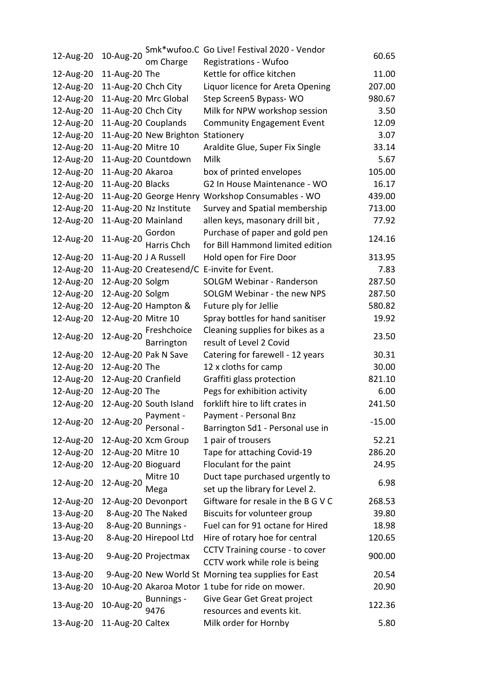|           |                     |                        | Smk*wufoo.C Go Live! Festival 2020 - Vendor         |          |
|-----------|---------------------|------------------------|-----------------------------------------------------|----------|
| 12-Aug-20 | 10-Aug-20           | om Charge              | Registrations - Wufoo                               | 60.65    |
| 12-Aug-20 | 11-Aug-20 The       |                        | Kettle for office kitchen                           | 11.00    |
| 12-Aug-20 | 11-Aug-20 Chch City |                        | Liquor licence for Areta Opening                    | 207.00   |
| 12-Aug-20 |                     | 11-Aug-20 Mrc Global   | Step Screen5 Bypass-WO                              | 980.67   |
| 12-Aug-20 | 11-Aug-20 Chch City |                        | Milk for NPW workshop session                       | 3.50     |
| 12-Aug-20 |                     | 11-Aug-20 Couplands    | <b>Community Engagement Event</b>                   | 12.09    |
| 12-Aug-20 |                     | 11-Aug-20 New Brighton | Stationery                                          | 3.07     |
| 12-Aug-20 | 11-Aug-20 Mitre 10  |                        | Araldite Glue, Super Fix Single                     | 33.14    |
| 12-Aug-20 |                     | 11-Aug-20 Countdown    | Milk                                                | 5.67     |
| 12-Aug-20 | 11-Aug-20 Akaroa    |                        | box of printed envelopes                            | 105.00   |
| 12-Aug-20 | 11-Aug-20 Blacks    |                        | G2 In House Maintenance - WO                        | 16.17    |
| 12-Aug-20 |                     |                        | 11-Aug-20 George Henry Workshop Consumables - WO    | 439.00   |
| 12-Aug-20 |                     | 11-Aug-20 Nz Institute | Survey and Spatial membership                       | 713.00   |
| 12-Aug-20 | 11-Aug-20 Mainland  |                        | allen keys, masonary drill bit,                     | 77.92    |
|           |                     | Gordon                 | Purchase of paper and gold pen                      |          |
| 12-Aug-20 | 11-Aug-20           | Harris Chch            | for Bill Hammond limited edition                    | 124.16   |
| 12-Aug-20 |                     | 11-Aug-20 J A Russell  | Hold open for Fire Door                             | 313.95   |
| 12-Aug-20 |                     |                        | 11-Aug-20 Createsend/C E-invite for Event.          | 7.83     |
| 12-Aug-20 | 12-Aug-20 Solgm     |                        | <b>SOLGM Webinar - Randerson</b>                    | 287.50   |
| 12-Aug-20 | 12-Aug-20 Solgm     |                        | SOLGM Webinar - the new NPS                         | 287.50   |
| 12-Aug-20 |                     | 12-Aug-20 Hampton &    | Future ply for Jellie                               | 580.82   |
| 12-Aug-20 | 12-Aug-20 Mitre 10  |                        | Spray bottles for hand sanitiser                    | 19.92    |
|           |                     | Freshchoice            | Cleaning supplies for bikes as a                    |          |
| 12-Aug-20 | 12-Aug-20           | Barrington             | result of Level 2 Covid                             | 23.50    |
| 12-Aug-20 |                     | 12-Aug-20 Pak N Save   | Catering for farewell - 12 years                    | 30.31    |
| 12-Aug-20 | 12-Aug-20 The       |                        | 12 x cloths for camp                                | 30.00    |
| 12-Aug-20 | 12-Aug-20 Cranfield |                        | Graffiti glass protection                           | 821.10   |
| 12-Aug-20 | 12-Aug-20 The       |                        | Pegs for exhibition activity                        | 6.00     |
| 12-Aug-20 |                     | 12-Aug-20 South Island | forklift hire to lift crates in                     | 241.50   |
| 12-Aug-20 | 12-Aug-20           | Payment -              | Payment - Personal Bnz                              | $-15.00$ |
|           |                     | Personal -             | Barrington Sd1 - Personal use in                    |          |
| 12-Aug-20 |                     | 12-Aug-20 Xcm Group    | 1 pair of trousers                                  | 52.21    |
| 12-Aug-20 | 12-Aug-20 Mitre 10  |                        | Tape for attaching Covid-19                         | 286.20   |
| 12-Aug-20 | 12-Aug-20 Bioguard  |                        | Floculant for the paint                             | 24.95    |
| 12-Aug-20 | 12-Aug-20           | Mitre 10               | Duct tape purchased urgently to                     | 6.98     |
|           |                     | Mega                   | set up the library for Level 2.                     |          |
| 12-Aug-20 |                     | 12-Aug-20 Devonport    | Giftware for resale in the B G V C                  | 268.53   |
| 13-Aug-20 |                     | 8-Aug-20 The Naked     | Biscuits for volunteer group                        | 39.80    |
| 13-Aug-20 |                     | 8-Aug-20 Bunnings -    | Fuel can for 91 octane for Hired                    | 18.98    |
| 13-Aug-20 |                     | 8-Aug-20 Hirepool Ltd  | Hire of rotary hoe for central                      | 120.65   |
| 13-Aug-20 |                     | 9-Aug-20 Projectmax    | CCTV Training course - to cover                     | 900.00   |
|           |                     |                        | CCTV work while role is being                       |          |
| 13-Aug-20 |                     |                        | 9-Aug-20 New World St Morning tea supplies for East | 20.54    |
| 13-Aug-20 |                     |                        | 10-Aug-20 Akaroa Motor 1 tube for ride on mower.    | 20.90    |
| 13-Aug-20 | 10-Aug-20           | Bunnings -             | Give Gear Get Great project                         | 122.36   |
|           |                     | 9476                   | resources and events kit.                           |          |
| 13-Aug-20 | 11-Aug-20 Caltex    |                        | Milk order for Hornby                               | 5.80     |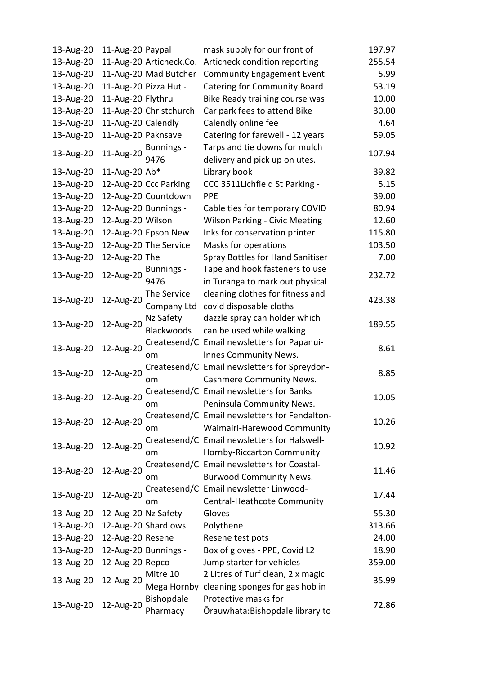| 13-Aug-20 | 11-Aug-20 Paypal    |                         | mask supply for our front of                                   | 197.97 |
|-----------|---------------------|-------------------------|----------------------------------------------------------------|--------|
| 13-Aug-20 |                     | 11-Aug-20 Articheck.Co. | Articheck condition reporting                                  | 255.54 |
| 13-Aug-20 |                     | 11-Aug-20 Mad Butcher   | <b>Community Engagement Event</b>                              | 5.99   |
| 13-Aug-20 |                     | 11-Aug-20 Pizza Hut -   | <b>Catering for Community Board</b>                            | 53.19  |
| 13-Aug-20 | 11-Aug-20 Flythru   |                         | Bike Ready training course was                                 | 10.00  |
| 13-Aug-20 |                     | 11-Aug-20 Christchurch  | Car park fees to attend Bike                                   | 30.00  |
| 13-Aug-20 | 11-Aug-20 Calendly  |                         | Calendly online fee                                            | 4.64   |
| 13-Aug-20 | 11-Aug-20 Paknsave  |                         | Catering for farewell - 12 years                               | 59.05  |
| 13-Aug-20 | 11-Aug-20           | Bunnings -<br>9476      | Tarps and tie downs for mulch<br>delivery and pick up on utes. | 107.94 |
| 13-Aug-20 | 11-Aug-20 Ab*       |                         | Library book                                                   | 39.82  |
| 13-Aug-20 |                     | 12-Aug-20 Ccc Parking   | CCC 3511Lichfield St Parking -                                 | 5.15   |
| 13-Aug-20 |                     | 12-Aug-20 Countdown     | <b>PPE</b>                                                     | 39.00  |
| 13-Aug-20 |                     | 12-Aug-20 Bunnings -    | Cable ties for temporary COVID                                 | 80.94  |
| 13-Aug-20 | 12-Aug-20 Wilson    |                         | <b>Wilson Parking - Civic Meeting</b>                          | 12.60  |
| 13-Aug-20 |                     | 12-Aug-20 Epson New     | Inks for conservation printer                                  | 115.80 |
| 13-Aug-20 |                     | 12-Aug-20 The Service   | Masks for operations                                           | 103.50 |
| 13-Aug-20 | 12-Aug-20 The       |                         | Spray Bottles for Hand Sanitiser                               | 7.00   |
|           |                     | Bunnings -              | Tape and hook fasteners to use                                 |        |
| 13-Aug-20 | 12-Aug-20           | 9476                    | in Turanga to mark out physical                                | 232.72 |
|           |                     | The Service             | cleaning clothes for fitness and                               |        |
| 13-Aug-20 | 12-Aug-20           | Company Ltd             | covid disposable cloths                                        | 423.38 |
|           |                     | Nz Safety               | dazzle spray can holder which                                  |        |
| 13-Aug-20 | 12-Aug-20           | Blackwoods              | can be used while walking                                      | 189.55 |
|           |                     |                         | Createsend/C Email newsletters for Papanui-                    |        |
| 13-Aug-20 | 12-Aug-20           | om                      | Innes Community News.                                          | 8.61   |
|           |                     |                         | Createsend/C Email newsletters for Spreydon-                   |        |
| 13-Aug-20 | 12-Aug-20           | om                      | <b>Cashmere Community News.</b>                                | 8.85   |
|           |                     |                         | Createsend/C Email newsletters for Banks                       |        |
| 13-Aug-20 | 12-Aug-20           | om                      | Peninsula Community News.                                      | 10.05  |
|           |                     |                         | Createsend/C Email newsletters for Fendalton-                  |        |
| 13-Aug-20 | 12-Aug-20           | om                      | Waimairi-Harewood Community                                    | 10.26  |
|           |                     |                         | Createsend/C Email newsletters for Halswell-                   |        |
| 13-Aug-20 | 12-Aug-20           | om                      | Hornby-Riccarton Community                                     | 10.92  |
|           |                     |                         | Createsend/C Email newsletters for Coastal-                    |        |
| 13-Aug-20 | 12-Aug-20           | om                      | <b>Burwood Community News.</b>                                 | 11.46  |
|           |                     |                         | Createsend/C Email newsletter Linwood-                         |        |
| 13-Aug-20 | 12-Aug-20           | om                      | Central-Heathcote Community                                    | 17.44  |
| 13-Aug-20 | 12-Aug-20 Nz Safety |                         | Gloves                                                         | 55.30  |
| 13-Aug-20 |                     | 12-Aug-20 Shardlows     | Polythene                                                      | 313.66 |
| 13-Aug-20 | 12-Aug-20 Resene    |                         | Resene test pots                                               | 24.00  |
| 13-Aug-20 |                     | 12-Aug-20 Bunnings -    | Box of gloves - PPE, Covid L2                                  | 18.90  |
| 13-Aug-20 | 12-Aug-20 Repco     |                         | Jump starter for vehicles                                      | 359.00 |
|           |                     | Mitre 10                | 2 Litres of Turf clean, 2 x magic                              |        |
| 13-Aug-20 | 12-Aug-20           | Mega Hornby             | cleaning sponges for gas hob in                                | 35.99  |
|           |                     | <b>Bishopdale</b>       | Protective masks for                                           |        |
| 13-Aug-20 | 12-Aug-20           | Pharmacy                | Orauwhata:Bishopdale library to                                | 72.86  |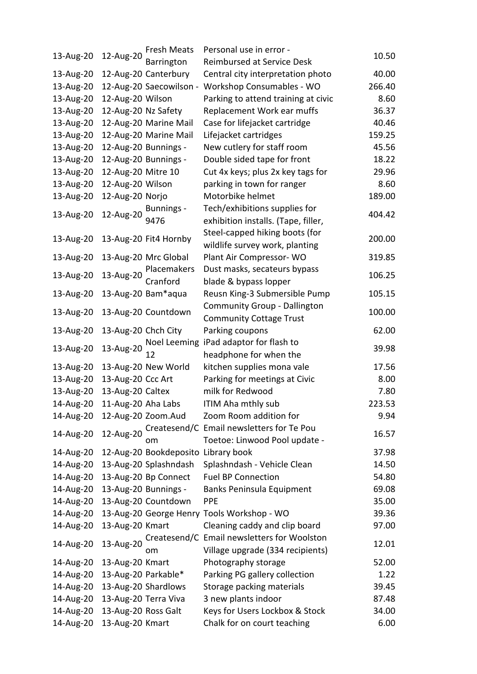|                              |                      | Fresh Meats                         | Personal use in error -                     |        |
|------------------------------|----------------------|-------------------------------------|---------------------------------------------|--------|
| 13-Aug-20                    | 12-Aug-20            | Barrington                          | Reimbursed at Service Desk                  | 10.50  |
| 13-Aug-20                    |                      | 12-Aug-20 Canterbury                | Central city interpretation photo           | 40.00  |
| 13-Aug-20                    |                      | 12-Aug-20 Saecowilson -             | Workshop Consumables - WO                   | 266.40 |
| 13-Aug-20                    | 12-Aug-20 Wilson     |                                     | Parking to attend training at civic         | 8.60   |
| 13-Aug-20                    | 12-Aug-20 Nz Safety  |                                     | Replacement Work ear muffs                  | 36.37  |
| 13-Aug-20                    |                      | 12-Aug-20 Marine Mail               | Case for lifejacket cartridge               | 40.46  |
| 13-Aug-20                    |                      | 12-Aug-20 Marine Mail               | Lifejacket cartridges                       | 159.25 |
| 13-Aug-20                    |                      | 12-Aug-20 Bunnings -                | New cutlery for staff room                  | 45.56  |
| 13-Aug-20                    |                      | 12-Aug-20 Bunnings -                | Double sided tape for front                 | 18.22  |
| 13-Aug-20                    | 12-Aug-20 Mitre 10   |                                     | Cut 4x keys; plus 2x key tags for           | 29.96  |
| 13-Aug-20                    | 12-Aug-20 Wilson     |                                     | parking in town for ranger                  | 8.60   |
| 13-Aug-20                    | 12-Aug-20 Norjo      |                                     | Motorbike helmet                            | 189.00 |
|                              |                      | Bunnings -                          | Tech/exhibitions supplies for               |        |
| 13-Aug-20                    | 12-Aug-20            | 9476                                | exhibition installs. (Tape, filler,         | 404.42 |
|                              |                      |                                     | Steel-capped hiking boots (for              |        |
| 13-Aug-20                    |                      | 13-Aug-20 Fit4 Hornby               | wildlife survey work, planting              | 200.00 |
| 13-Aug-20                    |                      | 13-Aug-20 Mrc Global                | Plant Air Compressor- WO                    | 319.85 |
|                              |                      | Placemakers                         | Dust masks, secateurs bypass                |        |
| 13-Aug-20                    | 13-Aug-20            | Cranford                            | blade & bypass lopper                       | 106.25 |
| 13-Aug-20                    |                      | 13-Aug-20 Bam*aqua                  | Reusn King-3 Submersible Pump               | 105.15 |
|                              |                      |                                     | <b>Community Group - Dallington</b>         |        |
| 13-Aug-20                    |                      | 13-Aug-20 Countdown                 | <b>Community Cottage Trust</b>              | 100.00 |
| 13-Aug-20                    | 13-Aug-20 Chch City  |                                     | Parking coupons                             | 62.00  |
|                              |                      |                                     | Noel Leeming iPad adaptor for flash to      |        |
| 13-Aug-20                    | 13-Aug-20            | 12                                  | headphone for when the                      | 39.98  |
| 13-Aug-20                    |                      | 13-Aug-20 New World                 | kitchen supplies mona vale                  | 17.56  |
| 13-Aug-20                    | 13-Aug-20 Ccc Art    |                                     | Parking for meetings at Civic               | 8.00   |
| 13-Aug-20                    | 13-Aug-20 Caltex     |                                     | milk for Redwood                            | 7.80   |
| 14-Aug-20 11-Aug-20 Aha Labs |                      |                                     | ITIM Aha mthly sub                          | 223.53 |
| 14-Aug-20 12-Aug-20 Zoom.Aud |                      |                                     | Zoom Room addition for                      | 9.94   |
|                              |                      |                                     | Createsend/C Email newsletters for Te Pou   |        |
| 14-Aug-20                    | 12-Aug-20            | om                                  | Toetoe: Linwood Pool update -               | 16.57  |
| 14-Aug-20                    |                      | 12-Aug-20 Bookdeposito Library book |                                             | 37.98  |
| 14-Aug-20                    |                      | 13-Aug-20 Splashndash               | Splashndash - Vehicle Clean                 | 14.50  |
| 14-Aug-20                    |                      | 13-Aug-20 Bp Connect                | <b>Fuel BP Connection</b>                   | 54.80  |
| 14-Aug-20                    |                      | 13-Aug-20 Bunnings -                | Banks Peninsula Equipment                   | 69.08  |
| 14-Aug-20                    |                      | 13-Aug-20 Countdown                 | <b>PPE</b>                                  | 35.00  |
| 14-Aug-20                    |                      |                                     | 13-Aug-20 George Henry Tools Workshop - WO  | 39.36  |
| 14-Aug-20                    | 13-Aug-20 Kmart      |                                     | Cleaning caddy and clip board               | 97.00  |
|                              |                      |                                     | Createsend/C Email newsletters for Woolston |        |
| 14-Aug-20                    | 13-Aug-20            | om                                  | Village upgrade (334 recipients)            | 12.01  |
| 14-Aug-20                    | 13-Aug-20 Kmart      |                                     | Photography storage                         | 52.00  |
| 14-Aug-20                    | 13-Aug-20 Parkable*  |                                     | Parking PG gallery collection               | 1.22   |
| 14-Aug-20                    |                      | 13-Aug-20 Shardlows                 | Storage packing materials                   | 39.45  |
| 14-Aug-20                    | 13-Aug-20 Terra Viva |                                     | 3 new plants indoor                         | 87.48  |
| 14-Aug-20                    | 13-Aug-20 Ross Galt  |                                     | Keys for Users Lockbox & Stock              | 34.00  |
| 14-Aug-20                    | 13-Aug-20 Kmart      |                                     | Chalk for on court teaching                 | 6.00   |
|                              |                      |                                     |                                             |        |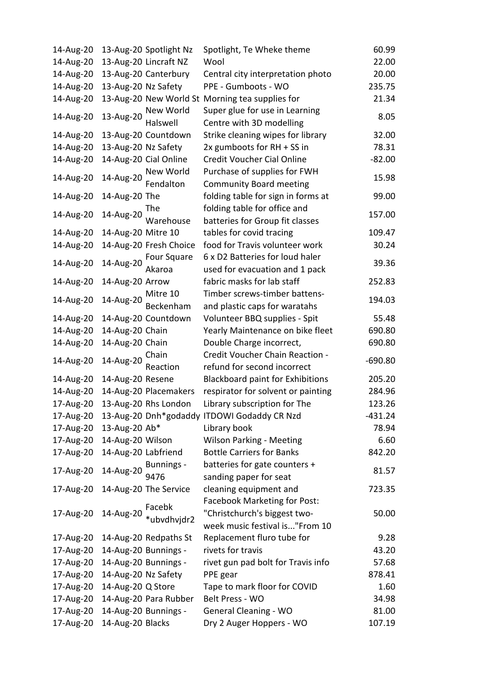| 14-Aug-20 |                     | 13-Aug-20 Spotlight Nz | Spotlight, Te Wheke theme                       | 60.99     |
|-----------|---------------------|------------------------|-------------------------------------------------|-----------|
| 14-Aug-20 |                     | 13-Aug-20 Lincraft NZ  | Wool                                            | 22.00     |
| 14-Aug-20 |                     | 13-Aug-20 Canterbury   | Central city interpretation photo               | 20.00     |
| 14-Aug-20 | 13-Aug-20 Nz Safety |                        | PPE - Gumboots - WO                             | 235.75    |
| 14-Aug-20 |                     |                        | 13-Aug-20 New World St Morning tea supplies for | 21.34     |
|           |                     | New World              | Super glue for use in Learning                  |           |
| 14-Aug-20 | 13-Aug-20           | Halswell               | Centre with 3D modelling                        | 8.05      |
| 14-Aug-20 |                     | 13-Aug-20 Countdown    | Strike cleaning wipes for library               | 32.00     |
| 14-Aug-20 | 13-Aug-20 Nz Safety |                        | 2x gumboots for RH + SS in                      | 78.31     |
| 14-Aug-20 |                     | 14-Aug-20 Cial Online  | Credit Voucher Cial Online                      | $-82.00$  |
|           |                     | New World              | Purchase of supplies for FWH                    |           |
| 14-Aug-20 | 14-Aug-20           | Fendalton              | <b>Community Board meeting</b>                  | 15.98     |
| 14-Aug-20 | 14-Aug-20 The       |                        | folding table for sign in forms at              | 99.00     |
|           |                     |                        | folding table for office and                    |           |
| 14-Aug-20 |                     | 14-Aug-20 Warehouse    | batteries for Group fit classes                 | 157.00    |
| 14-Aug-20 | 14-Aug-20 Mitre 10  |                        | tables for covid tracing                        | 109.47    |
| 14-Aug-20 |                     | 14-Aug-20 Fresh Choice | food for Travis volunteer work                  | 30.24     |
|           |                     | <b>Four Square</b>     | 6 x D2 Batteries for loud haler                 |           |
| 14-Aug-20 | 14-Aug-20           | Akaroa                 | used for evacuation and 1 pack                  | 39.36     |
| 14-Aug-20 | 14-Aug-20 Arrow     |                        | fabric masks for lab staff                      | 252.83    |
|           |                     |                        | Timber screws-timber battens-                   |           |
| 14-Aug-20 | 14-Aug-20           | Mitre 10<br>Beckenham  | and plastic caps for waratahs                   | 194.03    |
|           |                     |                        |                                                 |           |
| 14-Aug-20 |                     | 14-Aug-20 Countdown    | Volunteer BBQ supplies - Spit                   | 55.48     |
| 14-Aug-20 | 14-Aug-20 Chain     |                        | Yearly Maintenance on bike fleet                | 690.80    |
| 14-Aug-20 | 14-Aug-20 Chain     |                        | Double Charge incorrect,                        | 690.80    |
| 14-Aug-20 | 14-Aug-20           | Chain                  | Credit Voucher Chain Reaction -                 | $-690.80$ |
|           |                     | Reaction               | refund for second incorrect                     |           |
| 14-Aug-20 | 14-Aug-20 Resene    |                        | <b>Blackboard paint for Exhibitions</b>         | 205.20    |
| 14-Aug-20 |                     | 14-Aug-20 Placemakers  | respirator for solvent or painting              | 284.96    |
| 17-Aug-20 |                     | 13-Aug-20 Rhs London   | Library subscription for The                    | 123.26    |
| 17-Aug-20 |                     |                        | 13-Aug-20 Dnh*godaddy ITDOWI Godaddy CR Nzd     | -431.24   |
| 17-Aug-20 | 13-Aug-20 Ab*       |                        | Library book                                    | 78.94     |
| 17-Aug-20 | 14-Aug-20 Wilson    |                        | <b>Wilson Parking - Meeting</b>                 | 6.60      |
| 17-Aug-20 | 14-Aug-20 Labfriend |                        | <b>Bottle Carriers for Banks</b>                | 842.20    |
| 17-Aug-20 |                     | 14-Aug-20 Bunnings -   | batteries for gate counters +                   | 81.57     |
|           |                     | 9476                   | sanding paper for seat                          |           |
| 17-Aug-20 |                     | 14-Aug-20 The Service  | cleaning equipment and                          | 723.35    |
|           |                     | Facebk                 | <b>Facebook Marketing for Post:</b>             |           |
| 17-Aug-20 | 14-Aug-20           | *ubvdhvjdr2            | "Christchurch's biggest two-                    | 50.00     |
|           |                     |                        | week music festival is"From 10                  |           |
| 17-Aug-20 |                     | 14-Aug-20 Redpaths St  | Replacement fluro tube for                      | 9.28      |
| 17-Aug-20 |                     | 14-Aug-20 Bunnings -   | rivets for travis                               | 43.20     |
| 17-Aug-20 |                     | 14-Aug-20 Bunnings -   | rivet gun pad bolt for Travis info              | 57.68     |
| 17-Aug-20 | 14-Aug-20 Nz Safety |                        | PPE gear                                        | 878.41    |
| 17-Aug-20 | 14-Aug-20 Q Store   |                        | Tape to mark floor for COVID                    | 1.60      |
| 17-Aug-20 |                     | 14-Aug-20 Para Rubber  | Belt Press - WO                                 | 34.98     |
| 17-Aug-20 |                     | 14-Aug-20 Bunnings -   | General Cleaning - WO                           | 81.00     |
| 17-Aug-20 | 14-Aug-20 Blacks    |                        | Dry 2 Auger Hoppers - WO                        | 107.19    |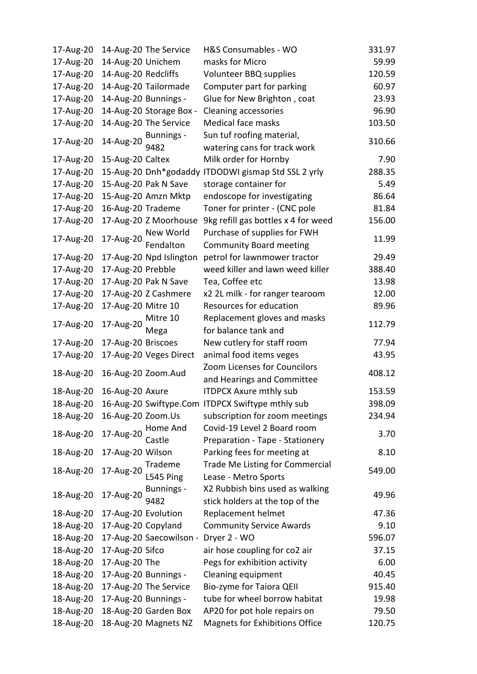| 17-Aug-20 |                     | 14-Aug-20 The Service   | H&S Consumables - WO                                       | 331.97 |
|-----------|---------------------|-------------------------|------------------------------------------------------------|--------|
| 17-Aug-20 | 14-Aug-20 Unichem   |                         | masks for Micro                                            | 59.99  |
| 17-Aug-20 | 14-Aug-20 Redcliffs |                         | Volunteer BBQ supplies                                     | 120.59 |
| 17-Aug-20 |                     | 14-Aug-20 Tailormade    | Computer part for parking                                  | 60.97  |
| 17-Aug-20 |                     | 14-Aug-20 Bunnings -    | Glue for New Brighton, coat                                | 23.93  |
| 17-Aug-20 |                     | 14-Aug-20 Storage Box - | <b>Cleaning accessories</b>                                | 96.90  |
| 17-Aug-20 |                     | 14-Aug-20 The Service   | Medical face masks                                         | 103.50 |
|           |                     | <b>Bunnings -</b>       | Sun tuf roofing material,                                  |        |
| 17-Aug-20 | 14-Aug-20           | 9482                    | watering cans for track work                               | 310.66 |
| 17-Aug-20 | 15-Aug-20 Caltex    |                         | Milk order for Hornby                                      | 7.90   |
| 17-Aug-20 |                     | 15-Aug-20 Dnh*godaddy   | ITDODWI gismap Std SSL 2 yrly                              | 288.35 |
| 17-Aug-20 |                     | 15-Aug-20 Pak N Save    | storage container for                                      | 5.49   |
| 17-Aug-20 |                     | 15-Aug-20 Amzn Mktp     | endoscope for investigating                                | 86.64  |
| 17-Aug-20 | 16-Aug-20 Trademe   |                         | Toner for printer - (CNC pole                              | 81.84  |
| 17-Aug-20 |                     | 17-Aug-20 Z Moorhouse   | 9kg refill gas bottles x 4 for weed                        | 156.00 |
|           |                     | New World               | Purchase of supplies for FWH                               |        |
| 17-Aug-20 | 17-Aug-20           | Fendalton               | <b>Community Board meeting</b>                             | 11.99  |
| 17-Aug-20 |                     | 17-Aug-20 Npd Islington | petrol for lawnmower tractor                               | 29.49  |
| 17-Aug-20 |                     |                         | weed killer and lawn weed killer                           | 388.40 |
|           | 17-Aug-20 Prebble   |                         |                                                            |        |
| 17-Aug-20 |                     | 17-Aug-20 Pak N Save    | Tea, Coffee etc                                            | 13.98  |
| 17-Aug-20 |                     | 17-Aug-20 Z Cashmere    | x2 2L milk - for ranger tearoom                            | 12.00  |
| 17-Aug-20 | 17-Aug-20 Mitre 10  |                         | Resources for education                                    | 89.96  |
| 17-Aug-20 | 17-Aug-20           | Mitre 10                | Replacement gloves and masks                               | 112.79 |
|           |                     | Mega                    | for balance tank and                                       |        |
| 17-Aug-20 | 17-Aug-20 Briscoes  |                         | New cutlery for staff room                                 | 77.94  |
| 17-Aug-20 |                     | 17-Aug-20 Veges Direct  | animal food items veges                                    | 43.95  |
| 18-Aug-20 |                     | 16-Aug-20 Zoom.Aud      | Zoom Licenses for Councilors                               | 408.12 |
|           |                     |                         | and Hearings and Committee                                 |        |
| 18-Aug-20 | 16-Aug-20 Axure     |                         | <b>ITDPCX Axure mthly sub</b>                              | 153.59 |
|           |                     |                         | 18-Aug-20 16-Aug-20 Swiftype.Com ITDPCX Swiftype mthly sub | 398.09 |
| 18-Aug-20 | 16-Aug-20 Zoom.Us   |                         | subscription for zoom meetings                             | 234.94 |
| 18-Aug-20 | 17-Aug-20           | Home And                | Covid-19 Level 2 Board room                                | 3.70   |
|           |                     | Castle                  | Preparation - Tape - Stationery                            |        |
| 18-Aug-20 | 17-Aug-20 Wilson    |                         | Parking fees for meeting at                                | 8.10   |
| 18-Aug-20 | 17-Aug-20           | Trademe                 | <b>Trade Me Listing for Commercial</b>                     | 549.00 |
|           |                     | L545 Ping               | Lease - Metro Sports                                       |        |
|           |                     | Bunnings -              | X2 Rubbish bins used as walking                            |        |
| 18-Aug-20 | 17-Aug-20           | 9482                    | stick holders at the top of the                            | 49.96  |
| 18-Aug-20 | 17-Aug-20 Evolution |                         | Replacement helmet                                         | 47.36  |
| 18-Aug-20 | 17-Aug-20 Copyland  |                         | <b>Community Service Awards</b>                            | 9.10   |
| 18-Aug-20 |                     | 17-Aug-20 Saecowilson - | Dryer 2 - WO                                               | 596.07 |
| 18-Aug-20 | 17-Aug-20 Sifco     |                         | air hose coupling for co2 air                              | 37.15  |
| 18-Aug-20 | 17-Aug-20 The       |                         | Pegs for exhibition activity                               | 6.00   |
| 18-Aug-20 |                     | 17-Aug-20 Bunnings -    | Cleaning equipment                                         | 40.45  |
| 18-Aug-20 |                     | 17-Aug-20 The Service   | Bio-zyme for Taiora QEII                                   | 915.40 |
| 18-Aug-20 |                     | 17-Aug-20 Bunnings -    | tube for wheel borrow habitat                              | 19.98  |
| 18-Aug-20 |                     | 18-Aug-20 Garden Box    | AP20 for pot hole repairs on                               | 79.50  |
| 18-Aug-20 |                     | 18-Aug-20 Magnets NZ    | <b>Magnets for Exhibitions Office</b>                      | 120.75 |
|           |                     |                         |                                                            |        |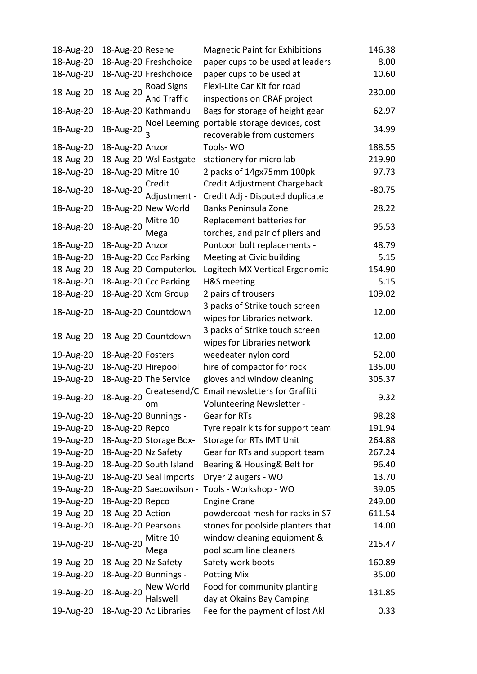| 18-Aug-20 | 18-Aug-20 Resene    |                        | <b>Magnetic Paint for Exhibitions</b>         | 146.38   |
|-----------|---------------------|------------------------|-----------------------------------------------|----------|
| 18-Aug-20 |                     | 18-Aug-20 Freshchoice  | paper cups to be used at leaders              | 8.00     |
| 18-Aug-20 |                     | 18-Aug-20 Freshchoice  | paper cups to be used at                      | 10.60    |
|           | 18-Aug-20           | Road Signs             | Flexi-Lite Car Kit for road                   |          |
| 18-Aug-20 |                     | And Traffic            | inspections on CRAF project                   | 230.00   |
| 18-Aug-20 |                     | 18-Aug-20 Kathmandu    | Bags for storage of height gear               | 62.97    |
|           |                     | Noel Leeming           | portable storage devices, cost                |          |
| 18-Aug-20 | 18-Aug-20           |                        | recoverable from customers                    | 34.99    |
| 18-Aug-20 | 18-Aug-20 Anzor     |                        | Tools-WO                                      | 188.55   |
| 18-Aug-20 |                     | 18-Aug-20 Wsl Eastgate | stationery for micro lab                      | 219.90   |
| 18-Aug-20 | 18-Aug-20 Mitre 10  |                        | 2 packs of 14gx75mm 100pk                     | 97.73    |
|           | 18-Aug-20           | Credit                 | Credit Adjustment Chargeback                  |          |
| 18-Aug-20 |                     | Adjustment -           | Credit Adj - Disputed duplicate               | $-80.75$ |
| 18-Aug-20 |                     | 18-Aug-20 New World    | Banks Peninsula Zone                          | 28.22    |
|           | 18-Aug-20           | Mitre 10               | Replacement batteries for                     |          |
| 18-Aug-20 |                     | Mega                   | torches, and pair of pliers and               | 95.53    |
| 18-Aug-20 | 18-Aug-20 Anzor     |                        | Pontoon bolt replacements -                   | 48.79    |
| 18-Aug-20 |                     | 18-Aug-20 Ccc Parking  | Meeting at Civic building                     | 5.15     |
| 18-Aug-20 |                     | 18-Aug-20 Computerlou  | Logitech MX Vertical Ergonomic                | 154.90   |
| 18-Aug-20 |                     | 18-Aug-20 Ccc Parking  | H&S meeting                                   | 5.15     |
| 18-Aug-20 |                     | 18-Aug-20 Xcm Group    | 2 pairs of trousers                           | 109.02   |
|           |                     |                        | 3 packs of Strike touch screen                |          |
| 18-Aug-20 |                     | 18-Aug-20 Countdown    | wipes for Libraries network.                  | 12.00    |
|           |                     |                        | 3 packs of Strike touch screen                |          |
| 18-Aug-20 |                     | 18-Aug-20 Countdown    | wipes for Libraries network                   | 12.00    |
| 19-Aug-20 | 18-Aug-20 Fosters   |                        | weedeater nylon cord                          | 52.00    |
| 19-Aug-20 | 18-Aug-20 Hirepool  |                        | hire of compactor for rock                    | 135.00   |
| 19-Aug-20 |                     | 18-Aug-20 The Service  | gloves and window cleaning                    | 305.37   |
| 19-Aug-20 | 18-Aug-20           |                        | Createsend/C Email newsletters for Graffiti   | 9.32     |
|           |                     | om                     | Volunteering Newsletter -                     |          |
| 19-Aug-20 |                     | 18-Aug-20 Bunnings -   | Gear for RTs                                  | 98.28    |
| 19-Aug-20 | 18-Aug-20 Repco     |                        | Tyre repair kits for support team             | 191.94   |
| 19-Aug-20 |                     | 18-Aug-20 Storage Box- | Storage for RTs IMT Unit                      | 264.88   |
| 19-Aug-20 | 18-Aug-20 Nz Safety |                        | Gear for RTs and support team                 | 267.24   |
| 19-Aug-20 |                     | 18-Aug-20 South Island | Bearing & Housing & Belt for                  | 96.40    |
| 19-Aug-20 |                     | 18-Aug-20 Seal Imports | Dryer 2 augers - WO                           | 13.70    |
| 19-Aug-20 |                     |                        | 18-Aug-20 Saecowilson - Tools - Workshop - WO | 39.05    |
| 19-Aug-20 | 18-Aug-20 Repco     |                        | <b>Engine Crane</b>                           | 249.00   |
| 19-Aug-20 | 18-Aug-20 Action    |                        | powdercoat mesh for racks in S7               | 611.54   |
| 19-Aug-20 | 18-Aug-20 Pearsons  |                        | stones for poolside planters that             | 14.00    |
|           |                     | Mitre 10               | window cleaning equipment &                   |          |
| 19-Aug-20 | 18-Aug-20           | Mega                   | pool scum line cleaners                       | 215.47   |
| 19-Aug-20 | 18-Aug-20 Nz Safety |                        | Safety work boots                             | 160.89   |
| 19-Aug-20 |                     | 18-Aug-20 Bunnings -   | <b>Potting Mix</b>                            | 35.00    |
| 19-Aug-20 | 18-Aug-20           | New World              | Food for community planting                   | 131.85   |
|           |                     | Halswell               | day at Okains Bay Camping                     |          |
| 19-Aug-20 |                     | 18-Aug-20 Ac Libraries | Fee for the payment of lost Akl               | 0.33     |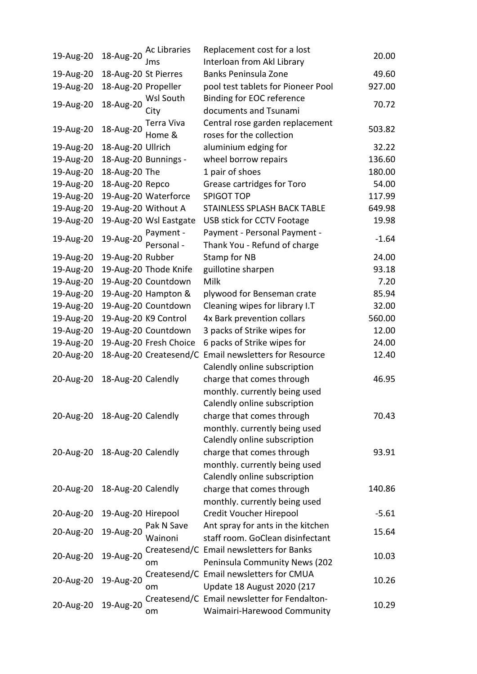|                              |                         | Ac Libraries           | Replacement cost for a lost                  |         |
|------------------------------|-------------------------|------------------------|----------------------------------------------|---------|
| 19-Aug-20                    | 18-Aug-20               | Jms                    | Interloan from Akl Library                   | 20.00   |
| 19-Aug-20                    | 18-Aug-20 St Pierres    |                        | Banks Peninsula Zone                         | 49.60   |
| 19-Aug-20                    | 18-Aug-20 Propeller     |                        | pool test tablets for Pioneer Pool           | 927.00  |
|                              |                         | Wsl South              | Binding for EOC reference                    |         |
| 19-Aug-20                    | 18-Aug-20               | City                   | documents and Tsunami                        | 70.72   |
|                              | Terra Viva<br>18-Aug-20 |                        | Central rose garden replacement              | 503.82  |
| 19-Aug-20                    |                         | Home &                 | roses for the collection                     |         |
| 19-Aug-20                    | 18-Aug-20 Ullrich       |                        | aluminium edging for                         | 32.22   |
| 19-Aug-20                    |                         | 18-Aug-20 Bunnings -   | wheel borrow repairs                         | 136.60  |
| 19-Aug-20                    | 18-Aug-20 The           |                        | 1 pair of shoes                              | 180.00  |
| 19-Aug-20                    | 18-Aug-20 Repco         |                        | Grease cartridges for Toro                   | 54.00   |
| 19-Aug-20                    |                         | 19-Aug-20 Waterforce   | <b>SPIGOT TOP</b>                            | 117.99  |
| 19-Aug-20                    |                         | 19-Aug-20 Without A    | <b>STAINLESS SPLASH BACK TABLE</b>           | 649.98  |
| 19-Aug-20                    |                         | 19-Aug-20 Wsl Eastgate | USB stick for CCTV Footage                   | 19.98   |
| 19-Aug-20                    | 19-Aug-20               | Payment -              | Payment - Personal Payment -                 | $-1.64$ |
|                              |                         | Personal -             | Thank You - Refund of charge                 |         |
| 19-Aug-20                    | 19-Aug-20 Rubber        |                        | Stamp for NB                                 | 24.00   |
| 19-Aug-20                    |                         | 19-Aug-20 Thode Knife  | guillotine sharpen                           | 93.18   |
| 19-Aug-20                    |                         | 19-Aug-20 Countdown    | Milk                                         | 7.20    |
| 19-Aug-20                    |                         | 19-Aug-20 Hampton &    | plywood for Benseman crate                   | 85.94   |
| 19-Aug-20                    |                         | 19-Aug-20 Countdown    | Cleaning wipes for library I.T               | 32.00   |
| 19-Aug-20                    |                         | 19-Aug-20 K9 Control   | 4x Bark prevention collars                   | 560.00  |
| 19-Aug-20                    |                         | 19-Aug-20 Countdown    | 3 packs of Strike wipes for                  | 12.00   |
| 19-Aug-20                    |                         | 19-Aug-20 Fresh Choice | 6 packs of Strike wipes for                  | 24.00   |
| 20-Aug-20                    |                         | 18-Aug-20 Createsend/C | <b>Email newsletters for Resource</b>        | 12.40   |
|                              |                         |                        | Calendly online subscription                 |         |
| 20-Aug-20                    | 18-Aug-20 Calendly      |                        | charge that comes through                    | 46.95   |
|                              |                         |                        | monthly. currently being used                |         |
|                              |                         |                        | Calendly online subscription                 |         |
| 20-Aug-20 18-Aug-20 Calendly |                         |                        | charge that comes through                    | 70.43   |
|                              |                         |                        | monthly. currently being used                |         |
|                              |                         |                        | Calendly online subscription                 |         |
| 20-Aug-20 18-Aug-20 Calendly |                         |                        | charge that comes through                    | 93.91   |
|                              |                         |                        | monthly. currently being used                |         |
|                              |                         |                        | Calendly online subscription                 |         |
| 20-Aug-20                    | 18-Aug-20 Calendly      |                        | charge that comes through                    | 140.86  |
|                              |                         |                        | monthly. currently being used                |         |
| 20-Aug-20                    | 19-Aug-20 Hirepool      |                        | Credit Voucher Hirepool                      | $-5.61$ |
| 20-Aug-20                    | 19-Aug-20               | Pak N Save             | Ant spray for ants in the kitchen            | 15.64   |
|                              |                         | Wainoni                | staff room. GoClean disinfectant             |         |
| 20-Aug-20                    | 19-Aug-20               |                        | Createsend/C Email newsletters for Banks     | 10.03   |
|                              |                         | om                     | Peninsula Community News (202                |         |
| 20-Aug-20                    | 19-Aug-20               |                        | Createsend/C Email newsletters for CMUA      | 10.26   |
|                              |                         | om                     | <b>Update 18 August 2020 (217</b>            |         |
| 20-Aug-20                    | 19-Aug-20               |                        | Createsend/C Email newsletter for Fendalton- | 10.29   |
|                              |                         | om                     | Waimairi-Harewood Community                  |         |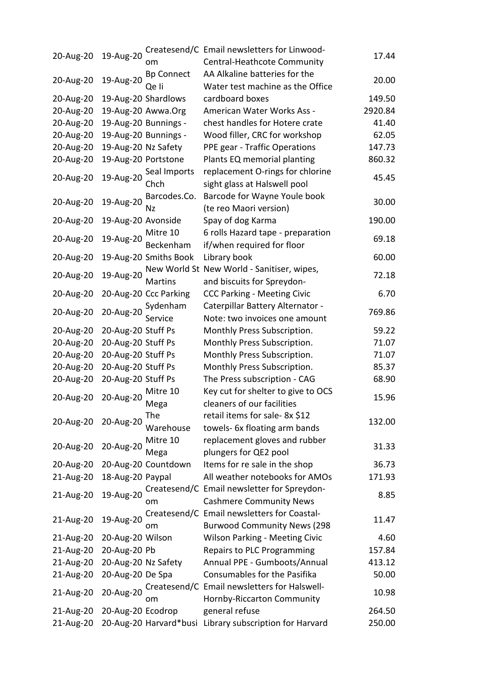|           |                     |                       | Createsend/C Email newsletters for Linwood-             |         |
|-----------|---------------------|-----------------------|---------------------------------------------------------|---------|
| 20-Aug-20 | 19-Aug-20           | om                    | Central-Heathcote Community                             | 17.44   |
|           |                     | <b>Bp Connect</b>     | AA Alkaline batteries for the                           |         |
| 20-Aug-20 | 19-Aug-20           | Qe li                 | Water test machine as the Office                        | 20.00   |
| 20-Aug-20 |                     | 19-Aug-20 Shardlows   | cardboard boxes                                         | 149.50  |
| 20-Aug-20 |                     | 19-Aug-20 Awwa.Org    | American Water Works Ass -                              | 2920.84 |
| 20-Aug-20 |                     | 19-Aug-20 Bunnings -  | chest handles for Hotere crate                          | 41.40   |
| 20-Aug-20 |                     | 19-Aug-20 Bunnings -  | Wood filler, CRC for workshop                           | 62.05   |
| 20-Aug-20 | 19-Aug-20 Nz Safety |                       | PPE gear - Traffic Operations                           | 147.73  |
| 20-Aug-20 | 19-Aug-20 Portstone |                       | Plants EQ memorial planting                             | 860.32  |
|           |                     | Seal Imports          | replacement O-rings for chlorine                        |         |
| 20-Aug-20 | 19-Aug-20           | Chch                  | sight glass at Halswell pool                            | 45.45   |
|           |                     | Barcodes.Co.          | Barcode for Wayne Youle book                            |         |
| 20-Aug-20 | 19-Aug-20           | Nz                    | (te reo Maori version)                                  | 30.00   |
| 20-Aug-20 | 19-Aug-20 Avonside  |                       | Spay of dog Karma                                       | 190.00  |
|           |                     | Mitre 10              | 6 rolls Hazard tape - preparation                       |         |
| 20-Aug-20 | 19-Aug-20           |                       |                                                         | 69.18   |
|           |                     | Beckenham             | if/when required for floor                              |         |
| 20-Aug-20 |                     | 19-Aug-20 Smiths Book | Library book                                            | 60.00   |
| 20-Aug-20 | 19-Aug-20           |                       | New World St New World - Sanitiser, wipes,              | 72.18   |
|           |                     | <b>Martins</b>        | and biscuits for Spreydon-                              |         |
| 20-Aug-20 |                     | 20-Aug-20 Ccc Parking | <b>CCC Parking - Meeting Civic</b>                      | 6.70    |
| 20-Aug-20 | 20-Aug-20           | Sydenham              | Caterpillar Battery Alternator -                        | 769.86  |
|           |                     | Service               | Note: two invoices one amount                           |         |
| 20-Aug-20 | 20-Aug-20 Stuff Ps  |                       | Monthly Press Subscription.                             | 59.22   |
| 20-Aug-20 | 20-Aug-20 Stuff Ps  |                       | Monthly Press Subscription.                             | 71.07   |
| 20-Aug-20 | 20-Aug-20 Stuff Ps  |                       | Monthly Press Subscription.                             | 71.07   |
| 20-Aug-20 | 20-Aug-20 Stuff Ps  |                       | Monthly Press Subscription.                             | 85.37   |
| 20-Aug-20 | 20-Aug-20 Stuff Ps  |                       | The Press subscription - CAG                            | 68.90   |
|           |                     | Mitre 10              | Key cut for shelter to give to OCS                      | 15.96   |
| 20-Aug-20 | 20-Aug-20           | Mega                  | cleaners of our facilities                              |         |
|           |                     | The                   | retail items for sale- 8x \$12                          |         |
| 20-Aug-20 | 20-Aug-20           | Warehouse             | towels- 6x floating arm bands                           | 132.00  |
|           |                     | Mitre 10              | replacement gloves and rubber                           |         |
| 20-Aug-20 | 20-Aug-20           | Mega                  | plungers for QE2 pool                                   | 31.33   |
| 20-Aug-20 |                     | 20-Aug-20 Countdown   | Items for re sale in the shop                           | 36.73   |
| 21-Aug-20 | 18-Aug-20 Paypal    |                       | All weather notebooks for AMOs                          | 171.93  |
|           |                     |                       | Createsend/C Email newsletter for Spreydon-             |         |
| 21-Aug-20 | 19-Aug-20           | om                    | <b>Cashmere Community News</b>                          | 8.85    |
|           |                     |                       | Createsend/C Email newsletters for Coastal-             |         |
| 21-Aug-20 | 19-Aug-20           | om                    | <b>Burwood Community News (298</b>                      | 11.47   |
| 21-Aug-20 | 20-Aug-20 Wilson    |                       | <b>Wilson Parking - Meeting Civic</b>                   | 4.60    |
| 21-Aug-20 | 20-Aug-20 Pb        |                       | Repairs to PLC Programming                              | 157.84  |
| 21-Aug-20 | 20-Aug-20 Nz Safety |                       | Annual PPE - Gumboots/Annual                            | 413.12  |
| 21-Aug-20 | 20-Aug-20 De Spa    |                       | Consumables for the Pasifika                            | 50.00   |
|           |                     |                       | Createsend/C Email newsletters for Halswell-            |         |
| 21-Aug-20 | 20-Aug-20           | om                    | Hornby-Riccarton Community                              | 10.98   |
| 21-Aug-20 | 20-Aug-20 Ecodrop   |                       | general refuse                                          | 264.50  |
| 21-Aug-20 |                     |                       | 20-Aug-20 Harvard*busi Library subscription for Harvard | 250.00  |
|           |                     |                       |                                                         |         |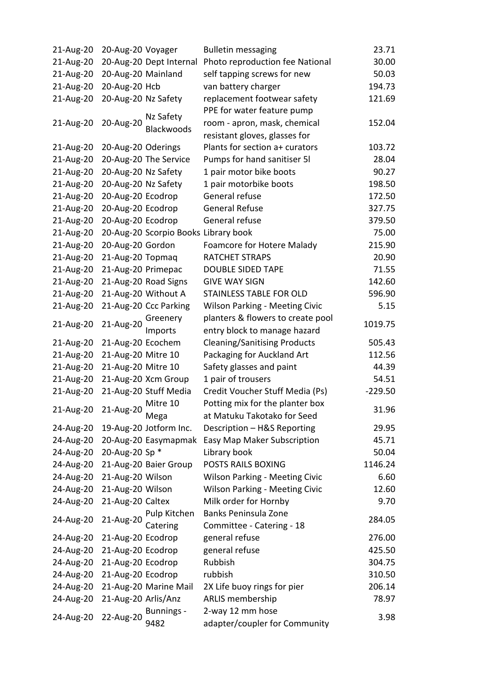| 21-Aug-20 | 20-Aug-20 Voyager   |                                      | <b>Bulletin messaging</b>             | 23.71     |
|-----------|---------------------|--------------------------------------|---------------------------------------|-----------|
| 21-Aug-20 |                     | 20-Aug-20 Dept Internal              | Photo reproduction fee National       | 30.00     |
| 21-Aug-20 | 20-Aug-20 Mainland  |                                      | self tapping screws for new           | 50.03     |
| 21-Aug-20 | 20-Aug-20 Hcb       |                                      | van battery charger                   | 194.73    |
| 21-Aug-20 | 20-Aug-20 Nz Safety |                                      | replacement footwear safety           | 121.69    |
|           |                     | Nz Safety                            | PPE for water feature pump            |           |
| 21-Aug-20 | 20-Aug-20           | Blackwoods                           | room - apron, mask, chemical          | 152.04    |
|           |                     |                                      | resistant gloves, glasses for         |           |
| 21-Aug-20 | 20-Aug-20 Oderings  |                                      | Plants for section a+ curators        | 103.72    |
| 21-Aug-20 |                     | 20-Aug-20 The Service                | Pumps for hand sanitiser 51           | 28.04     |
| 21-Aug-20 | 20-Aug-20 Nz Safety |                                      | 1 pair motor bike boots               | 90.27     |
| 21-Aug-20 | 20-Aug-20 Nz Safety |                                      | 1 pair motorbike boots                | 198.50    |
| 21-Aug-20 | 20-Aug-20 Ecodrop   |                                      | General refuse                        | 172.50    |
| 21-Aug-20 | 20-Aug-20 Ecodrop   |                                      | <b>General Refuse</b>                 | 327.75    |
| 21-Aug-20 | 20-Aug-20 Ecodrop   |                                      | General refuse                        | 379.50    |
| 21-Aug-20 |                     | 20-Aug-20 Scorpio Books Library book |                                       | 75.00     |
| 21-Aug-20 | 20-Aug-20 Gordon    |                                      | Foamcore for Hotere Malady            | 215.90    |
| 21-Aug-20 | 21-Aug-20 Topmaq    |                                      | RATCHET STRAPS                        | 20.90     |
| 21-Aug-20 | 21-Aug-20 Primepac  |                                      | <b>DOUBLE SIDED TAPE</b>              | 71.55     |
| 21-Aug-20 |                     | 21-Aug-20 Road Signs                 | <b>GIVE WAY SIGN</b>                  | 142.60    |
| 21-Aug-20 |                     | 21-Aug-20 Without A                  | STAINLESS TABLE FOR OLD               | 596.90    |
| 21-Aug-20 |                     | 21-Aug-20 Ccc Parking                | Wilson Parking - Meeting Civic        | 5.15      |
|           |                     | Greenery                             | planters & flowers to create pool     |           |
| 21-Aug-20 | 21-Aug-20           | Imports                              | entry block to manage hazard          | 1019.75   |
| 21-Aug-20 | 21-Aug-20 Ecochem   |                                      | <b>Cleaning/Sanitising Products</b>   | 505.43    |
| 21-Aug-20 | 21-Aug-20 Mitre 10  |                                      | Packaging for Auckland Art            | 112.56    |
| 21-Aug-20 | 21-Aug-20 Mitre 10  |                                      | Safety glasses and paint              | 44.39     |
| 21-Aug-20 |                     | 21-Aug-20 Xcm Group                  | 1 pair of trousers                    | 54.51     |
| 21-Aug-20 |                     | 21-Aug-20 Stuff Media                | Credit Voucher Stuff Media (Ps)       | $-229.50$ |
| 21-Aug-20 |                     | $\frac{1}{20}$ Mitre 10              | Potting mix for the planter box       | 31.96     |
|           | 21-Aug-20           | Mega                                 | at Matuku Takotako for Seed           |           |
| 24-Aug-20 |                     | 19-Aug-20 Jotform Inc.               | Description - H&S Reporting           | 29.95     |
| 24-Aug-20 |                     | 20-Aug-20 Easymapmak                 | Easy Map Maker Subscription           | 45.71     |
| 24-Aug-20 | 20-Aug-20 Sp *      |                                      | Library book                          | 50.04     |
| 24-Aug-20 |                     | 21-Aug-20 Baier Group                | POSTS RAILS BOXING                    | 1146.24   |
| 24-Aug-20 | 21-Aug-20 Wilson    |                                      | <b>Wilson Parking - Meeting Civic</b> | 6.60      |
| 24-Aug-20 | 21-Aug-20 Wilson    |                                      | <b>Wilson Parking - Meeting Civic</b> | 12.60     |
| 24-Aug-20 | 21-Aug-20 Caltex    |                                      | Milk order for Hornby                 | 9.70      |
|           | 21-Aug-20           | Pulp Kitchen                         | Banks Peninsula Zone                  |           |
| 24-Aug-20 |                     | Catering                             | Committee - Catering - 18             | 284.05    |
| 24-Aug-20 | 21-Aug-20 Ecodrop   |                                      | general refuse                        | 276.00    |
| 24-Aug-20 | 21-Aug-20 Ecodrop   |                                      | general refuse                        | 425.50    |
| 24-Aug-20 | 21-Aug-20 Ecodrop   |                                      | Rubbish                               | 304.75    |
| 24-Aug-20 | 21-Aug-20 Ecodrop   |                                      | rubbish                               | 310.50    |
| 24-Aug-20 |                     | 21-Aug-20 Marine Mail                | 2X Life buoy rings for pier           | 206.14    |
| 24-Aug-20 | 21-Aug-20 Arlis/Anz |                                      | ARLIS membership                      | 78.97     |
|           |                     | Bunnings -                           | 2-way 12 mm hose                      |           |
| 24-Aug-20 | 22-Aug-20           | 9482                                 | adapter/coupler for Community         | 3.98      |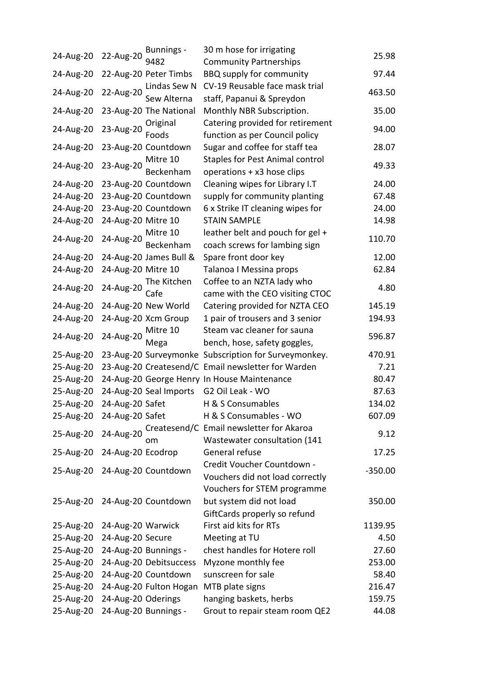| 24-Aug-20                 | 22-Aug-20          | <b>Bunnings -</b>             | 30 m hose for irrigating                             | 25.98     |
|---------------------------|--------------------|-------------------------------|------------------------------------------------------|-----------|
|                           |                    | 9482                          | <b>Community Partnerships</b>                        |           |
| 24-Aug-20                 |                    | 22-Aug-20 Peter Timbs         | <b>BBQ supply for community</b>                      | 97.44     |
| 24-Aug-20                 | 22-Aug-20          | Lindas Sew N                  | CV-19 Reusable face mask trial                       | 463.50    |
|                           |                    | Sew Alterna                   | staff, Papanui & Spreydon                            |           |
| 24-Aug-20                 |                    | 23-Aug-20 The National        | Monthly NBR Subscription.                            | 35.00     |
| 24-Aug-20                 | 23-Aug-20          | Original                      | Catering provided for retirement                     | 94.00     |
|                           |                    | Foods                         | function as per Council policy                       |           |
| 24-Aug-20                 |                    | 23-Aug-20 Countdown           | Sugar and coffee for staff tea                       | 28.07     |
| 24-Aug-20                 | 23-Aug-20          | Mitre 10                      | <b>Staples for Pest Animal control</b>               | 49.33     |
|                           |                    | Beckenham                     | operations + x3 hose clips                           |           |
| 24-Aug-20                 |                    | 23-Aug-20 Countdown           | Cleaning wipes for Library I.T                       | 24.00     |
| 24-Aug-20                 |                    | 23-Aug-20 Countdown           | supply for community planting                        | 67.48     |
| 24-Aug-20                 |                    | 23-Aug-20 Countdown           | 6 x Strike IT cleaning wipes for                     | 24.00     |
| 24-Aug-20                 | 24-Aug-20 Mitre 10 |                               | <b>STAIN SAMPLE</b>                                  | 14.98     |
| 24-Aug-20                 | 24-Aug-20          | Mitre 10                      | leather belt and pouch for gel +                     | 110.70    |
|                           |                    | Beckenham                     | coach screws for lambing sign                        |           |
| 24-Aug-20                 |                    | 24-Aug-20 James Bull &        | Spare front door key                                 | 12.00     |
| 24-Aug-20                 | 24-Aug-20 Mitre 10 |                               | Talanoa I Messina props                              | 62.84     |
| 24-Aug-20                 |                    | 24-Aug-20 The Kitchen<br>Cafe | Coffee to an NZTA lady who                           | 4.80      |
|                           |                    |                               | came with the CEO visiting CTOC                      |           |
| 24-Aug-20                 |                    | 24-Aug-20 New World           | Catering provided for NZTA CEO                       | 145.19    |
| 24-Aug-20                 |                    | 24-Aug-20 Xcm Group           | 1 pair of trousers and 3 senior                      | 194.93    |
| 24-Aug-20                 | 24-Aug-20          | Mitre 10                      | Steam vac cleaner for sauna                          | 596.87    |
|                           |                    | Mega                          | bench, hose, safety goggles,                         |           |
| 25-Aug-20                 |                    |                               | 23-Aug-20 Surveymonke Subscription for Surveymonkey. | 470.91    |
| 25-Aug-20                 |                    |                               | 23-Aug-20 Createsend/C Email newsletter for Warden   | 7.21      |
| 25-Aug-20                 |                    |                               | 24-Aug-20 George Henry In House Maintenance          | 80.47     |
| 25-Aug-20                 |                    | 24-Aug-20 Seal Imports        | G2 Oil Leak - WO                                     | 87.63     |
|                           |                    |                               | 25-Aug-20 24-Aug-20 Safet H & S Consumables          | 134.02    |
| 25-Aug-20 24-Aug-20 Safet |                    |                               | H & S Consumables - WO                               | 607.09    |
|                           | 24-Aug-20          |                               | Createsend/C Email newsletter for Akaroa             |           |
| 25-Aug-20                 |                    | om                            | Wastewater consultation (141                         | 9.12      |
| 25-Aug-20                 | 24-Aug-20 Ecodrop  |                               | General refuse                                       | 17.25     |
|                           |                    |                               | Credit Voucher Countdown -                           |           |
|                           |                    | 25-Aug-20 24-Aug-20 Countdown | Vouchers did not load correctly                      | $-350.00$ |
|                           |                    |                               | Vouchers for STEM programme                          |           |
|                           |                    | 25-Aug-20 24-Aug-20 Countdown | but system did not load                              | 350.00    |
|                           |                    |                               | GiftCards properly so refund                         |           |
| 25-Aug-20                 | 24-Aug-20 Warwick  |                               | First aid kits for RTs                               | 1139.95   |
| 25-Aug-20                 | 24-Aug-20 Secure   |                               | Meeting at TU                                        | 4.50      |
| 25-Aug-20                 |                    | 24-Aug-20 Bunnings -          | chest handles for Hotere roll                        | 27.60     |
| 25-Aug-20                 |                    | 24-Aug-20 Debitsuccess        | Myzone monthly fee                                   | 253.00    |
| 25-Aug-20                 |                    | 24-Aug-20 Countdown           | sunscreen for sale                                   | 58.40     |
| 25-Aug-20                 |                    | 24-Aug-20 Fulton Hogan        | MTB plate signs                                      | 216.47    |
| 25-Aug-20                 | 24-Aug-20 Oderings |                               | hanging baskets, herbs                               | 159.75    |
| 25-Aug-20                 |                    | 24-Aug-20 Bunnings -          | Grout to repair steam room QE2                       | 44.08     |
|                           |                    |                               |                                                      |           |